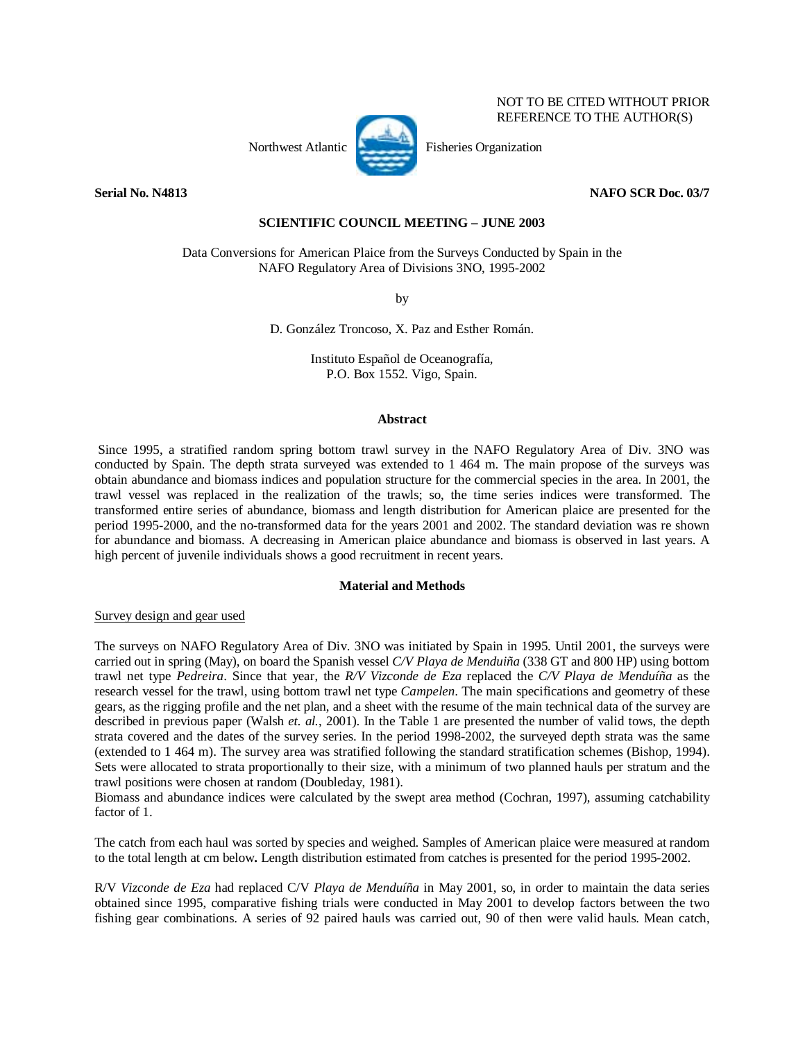## NOT TO BE CITED WITHOUT PRIOR REFERENCE TO THE AUTHOR(S)

Northwest Atlantic Fisheries Organization



**Serial No. N4813** NAFO SCR Doc. 03/7

# **SCIENTIFIC COUNCIL MEETING – JUNE 2003**

Data Conversions for American Plaice from the Surveys Conducted by Spain in the NAFO Regulatory Area of Divisions 3NO, 1995-2002

by

D. González Troncoso, X. Paz and Esther Román.

Instituto Español de Oceanografía, P.O. Box 1552. Vigo, Spain.

### **Abstract**

 Since 1995, a stratified random spring bottom trawl survey in the NAFO Regulatory Area of Div. 3NO was conducted by Spain. The depth strata surveyed was extended to 1 464 m. The main propose of the surveys was obtain abundance and biomass indices and population structure for the commercial species in the area. In 2001, the trawl vessel was replaced in the realization of the trawls; so, the time series indices were transformed. The transformed entire series of abundance, biomass and length distribution for American plaice are presented for the period 1995-2000, and the no-transformed data for the years 2001 and 2002. The standard deviation was re shown for abundance and biomass. A decreasing in American plaice abundance and biomass is observed in last years. A high percent of juvenile individuals shows a good recruitment in recent years.

### **Material and Methods**

# Survey design and gear used

The surveys on NAFO Regulatory Area of Div. 3NO was initiated by Spain in 1995. Until 2001, the surveys were carried out in spring (May), on board the Spanish vessel *C/V Playa de Menduiña* (338 GT and 800 HP) using bottom trawl net type *Pedreira*. Since that year, the *R/V Vizconde de Eza* replaced the *C/V Playa de Menduíña* as the research vessel for the trawl, using bottom trawl net type *Campelen*. The main specifications and geometry of these gears, as the rigging profile and the net plan, and a sheet with the resume of the main technical data of the survey are described in previous paper (Walsh *et. al.*, 2001). In the Table 1 are presented the number of valid tows, the depth strata covered and the dates of the survey series. In the period 1998-2002, the surveyed depth strata was the same (extended to 1 464 m). The survey area was stratified following the standard stratification schemes (Bishop, 1994). Sets were allocated to strata proportionally to their size, with a minimum of two planned hauls per stratum and the trawl positions were chosen at random (Doubleday, 1981).

Biomass and abundance indices were calculated by the swept area method (Cochran, 1997), assuming catchability factor of 1.

The catch from each haul was sorted by species and weighed. Samples of American plaice were measured at random to the total length at cm below**.** Length distribution estimated from catches is presented for the period 1995-2002.

R/V *Vizconde de Eza* had replaced C/V *Playa de Menduíña* in May 2001, so, in order to maintain the data series obtained since 1995, comparative fishing trials were conducted in May 2001 to develop factors between the two fishing gear combinations. A series of 92 paired hauls was carried out, 90 of then were valid hauls. Mean catch,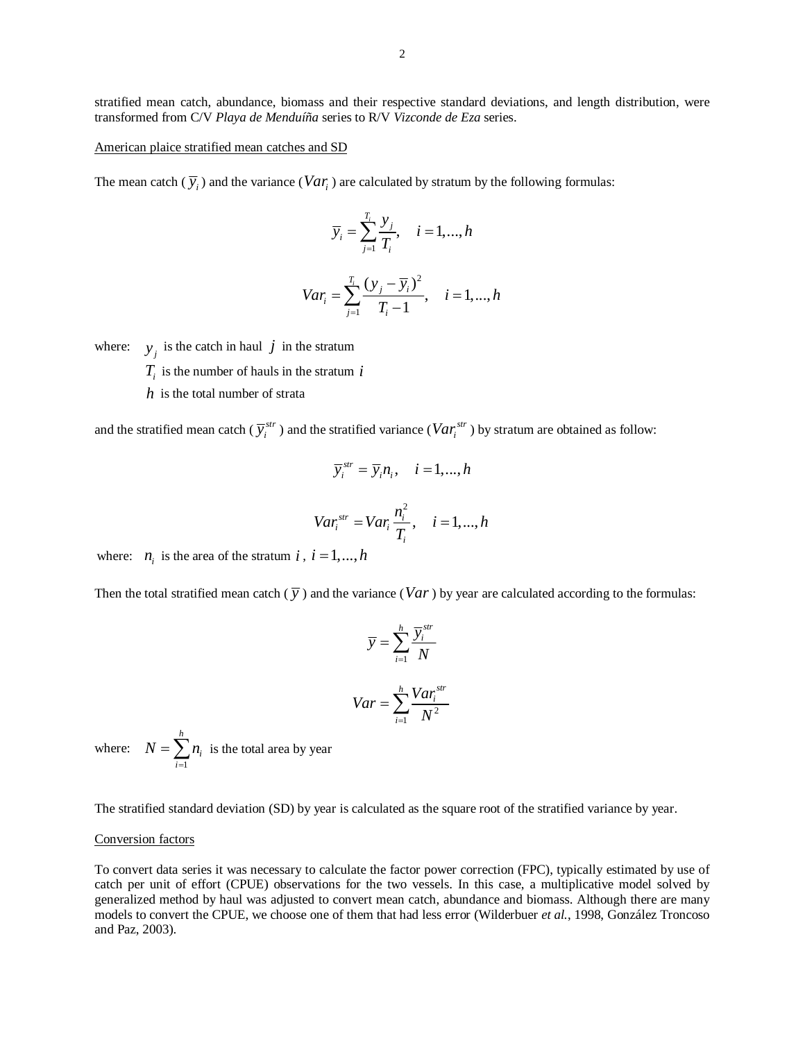stratified mean catch, abundance, biomass and their respective standard deviations, and length distribution, were transformed from C/V *Playa de Menduíña* series to R/V *Vizconde de Eza* series.

#### American plaice stratified mean catches and SD

The mean catch  $(\overline{y}_i)$  and the variance (*Var<sub>i</sub>*) are calculated by stratum by the following formulas:

$$
\overline{y}_i = \sum_{j=1}^{T_i} \frac{y_j}{T_i}, \quad i = 1, \dots, h
$$

$$
Var_i = \sum_{j=1}^{T_i} \frac{(y_j - \overline{y}_i)^2}{T_i - 1}, \quad i = 1, ..., h
$$

where:  $y_j$  is the catch in haul *j* in the stratum

- $T_i$  is the number of hauls in the stratum *i*
- *h* is the total number of strata

and the stratified mean catch ( $\overline{y}_i^{str}$ ) and the stratified variance ( $Var_i^{str}$ ) by stratum are obtained as follow:

$$
\overline{y}_i^{str} = \overline{y}_i n_i, \quad i = 1, ..., h
$$
  

$$
Var_i^{str} = Var_i \frac{n_i^2}{T_i}, \quad i = 1, ..., h
$$

where:  $n_i$  is the area of the stratum *i*,  $i = 1, ..., h$ 

Then the total stratified mean catch  $(\bar{y})$  and the variance (*Var*) by year are calculated according to the formulas:

$$
\overline{y} = \sum_{i=1}^{h} \frac{\overline{y}_i^{str}}{N}
$$

$$
Var = \sum_{i=1}^{h} \frac{Var_i^{str}}{N^2}
$$

where: 1 *h i i*  $N = \sum n$  $=\sum_{i=1}^{\infty} n_i$  is the total area by year

The stratified standard deviation (SD) by year is calculated as the square root of the stratified variance by year.

### Conversion factors

To convert data series it was necessary to calculate the factor power correction (FPC), typically estimated by use of catch per unit of effort (CPUE) observations for the two vessels. In this case, a multiplicative model solved by generalized method by haul was adjusted to convert mean catch, abundance and biomass. Although there are many models to convert the CPUE, we choose one of them that had less error (Wilderbuer *et al.*, 1998, González Troncoso and Paz, 2003).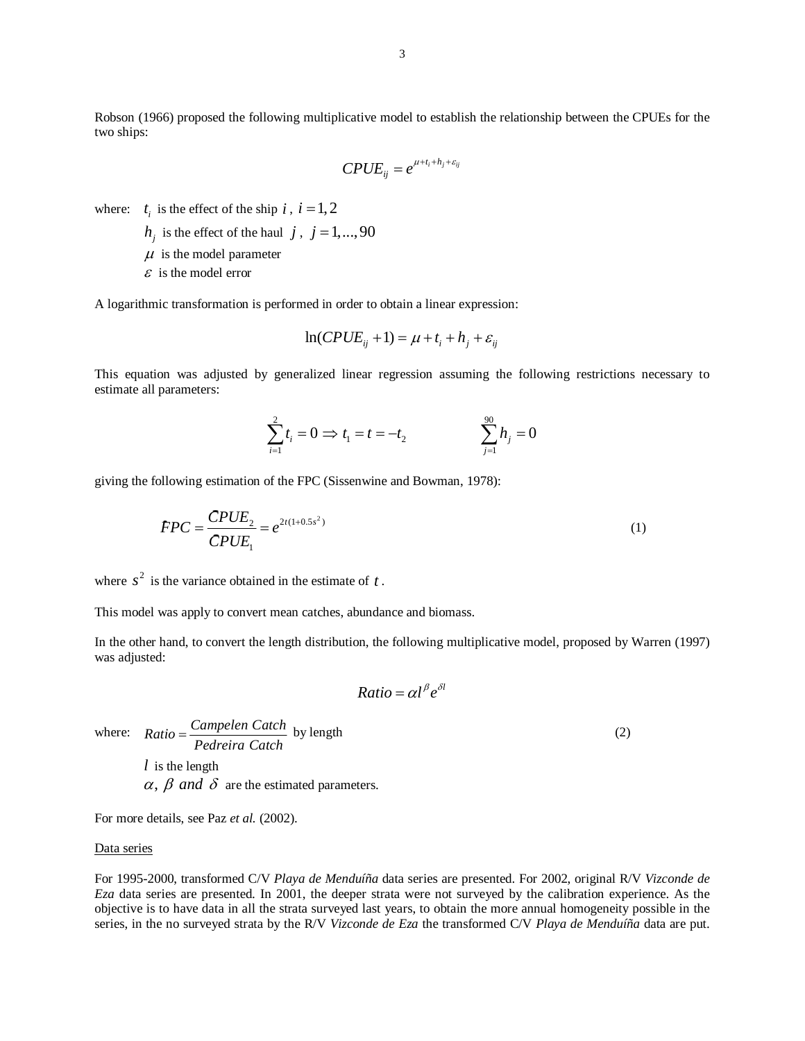Robson (1966) proposed the following multiplicative model to establish the relationship between the CPUEs for the two ships:

$$
CPUE_{ij} = e^{\mu + t_i + h_j + \varepsilon_{ij}}
$$

where:  $t_i$  is the effect of the ship  $i$ ,  $i = 1, 2$ 

- $h_i$  is the effect of the haul *j*, *j* = 1,...,90
- $\mu$  is the model parameter
- $\epsilon$  is the model error

A logarithmic transformation is performed in order to obtain a linear expression:

$$
\ln(CPUE_{ij} + 1) = \mu + t_i + h_j + \varepsilon_{ij}
$$

This equation was adjusted by generalized linear regression assuming the following restrictions necessary to estimate all parameters:

$$
\sum_{i=1}^{2} t_i = 0 \implies t_1 = t = -t_2 \qquad \qquad \sum_{j=1}^{90} h_j = 0
$$

giving the following estimation of the FPC (Sissenwine and Bowman, 1978):  
\n
$$
FPC = \frac{CPUE_2}{CPUE_1} = e^{2t(1+0.5s^2)}
$$
\n(1)

where  $s^2$  is the variance obtained in the estimate of  $t$ .

This model was apply to convert mean catches, abundance and biomass.

In the other hand, to convert the length distribution, the following multiplicative model, proposed by Warren (1997) was adjusted:

$$
Ratio = \alpha l^{\beta} e^{\delta l}
$$

where:  $Ratio = \frac{Campelen Catch}{Pedreira Catch}$  by length (2)

*l* is the length  $\alpha$ ,  $\beta$  and  $\delta$  are the estimated parameters.

For more details, see Paz *et al.* (2002).

## Data series

For 1995-2000, transformed C/V *Playa de Menduíña* data series are presented. For 2002, original R/V *Vizconde de Eza* data series are presented. In 2001, the deeper strata were not surveyed by the calibration experience. As the objective is to have data in all the strata surveyed last years, to obtain the more annual homogeneity possible in the series, in the no surveyed strata by the R/V *Vizconde de Eza* the transformed C/V *Playa de Menduíña* data are put.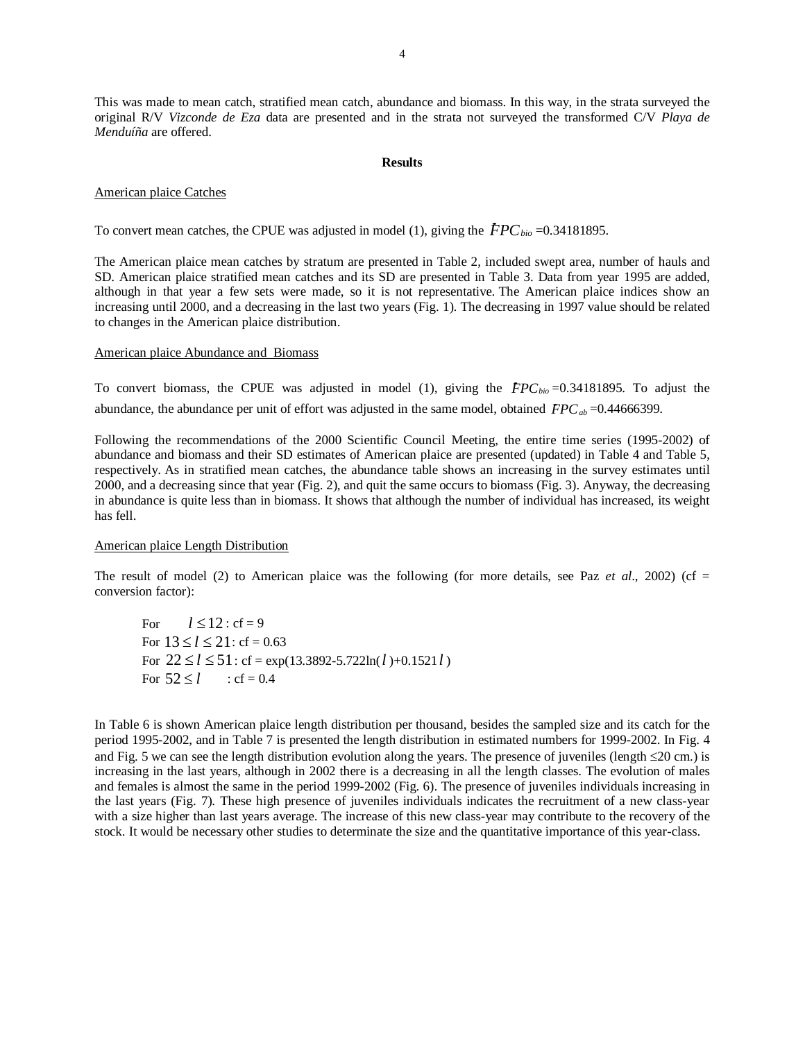This was made to mean catch, stratified mean catch, abundance and biomass. In this way, in the strata surveyed the original R/V *Vizconde de Eza* data are presented and in the strata not surveyed the transformed C/V *Playa de Menduíña* are offered.

### **Results**

#### American plaice Catches

To convert mean catches, the CPUE was adjusted in model (1), giving the  $FPC_{bio} = 0.34181895$ .

The American plaice mean catches by stratum are presented in Table 2, included swept area, number of hauls and SD. American plaice stratified mean catches and its SD are presented in Table 3. Data from year 1995 are added, although in that year a few sets were made, so it is not representative. The American plaice indices show an increasing until 2000, and a decreasing in the last two years (Fig. 1). The decreasing in 1997 value should be related to changes in the American plaice distribution.

### American plaice Abundance and Biomass

To convert biomass, the CPUE was adjusted in model (1), giving the *FPC*<sub>bio</sub>=0.34181895. To adjust the Fo convert biomass, the CPUE was adjusted in model (1), giving the  $FPC_{bio} = 0.34181895$ . To additional represent to ferror was adjusted in the same model, obtained  $FPC_{ab} = 0.44666399$ .

Following the recommendations of the 2000 Scientific Council Meeting, the entire time series (1995-2002) of abundance and biomass and their SD estimates of American plaice are presented (updated) in Table 4 and Table 5, respectively. As in stratified mean catches, the abundance table shows an increasing in the survey estimates until 2000, and a decreasing since that year (Fig. 2), and quit the same occurs to biomass (Fig. 3). Anyway, the decreasing in abundance is quite less than in biomass. It shows that although the number of individual has increased, its weight has fell.

### American plaice Length Distribution

The result of model (2) to American plaice was the following (for more details, see Paz  $et al., 2002$ ) (cf = conversion factor):

For  $l \le 12$  : cf = 9 For  $13 \le l \le 21$ : cf = 0.63 For  $22 \le l \le 51$ : cf = exp(13.3892-5.722ln(*l*)+0.1521*l*) For  $52 \le l$  : cf = 0.4

In Table 6 is shown American plaice length distribution per thousand, besides the sampled size and its catch for the period 1995-2002, and in Table 7 is presented the length distribution in estimated numbers for 1999-2002. In Fig. 4 and Fig. 5 we can see the length distribution evolution along the years. The presence of juveniles (length ≤20 cm.) is increasing in the last years, although in 2002 there is a decreasing in all the length classes. The evolution of males and females is almost the same in the period 1999-2002 (Fig. 6). The presence of juveniles individuals increasing in the last years (Fig. 7). These high presence of juveniles individuals indicates the recruitment of a new class-year with a size higher than last years average. The increase of this new class-year may contribute to the recovery of the stock. It would be necessary other studies to determinate the size and the quantitative importance of this year-class.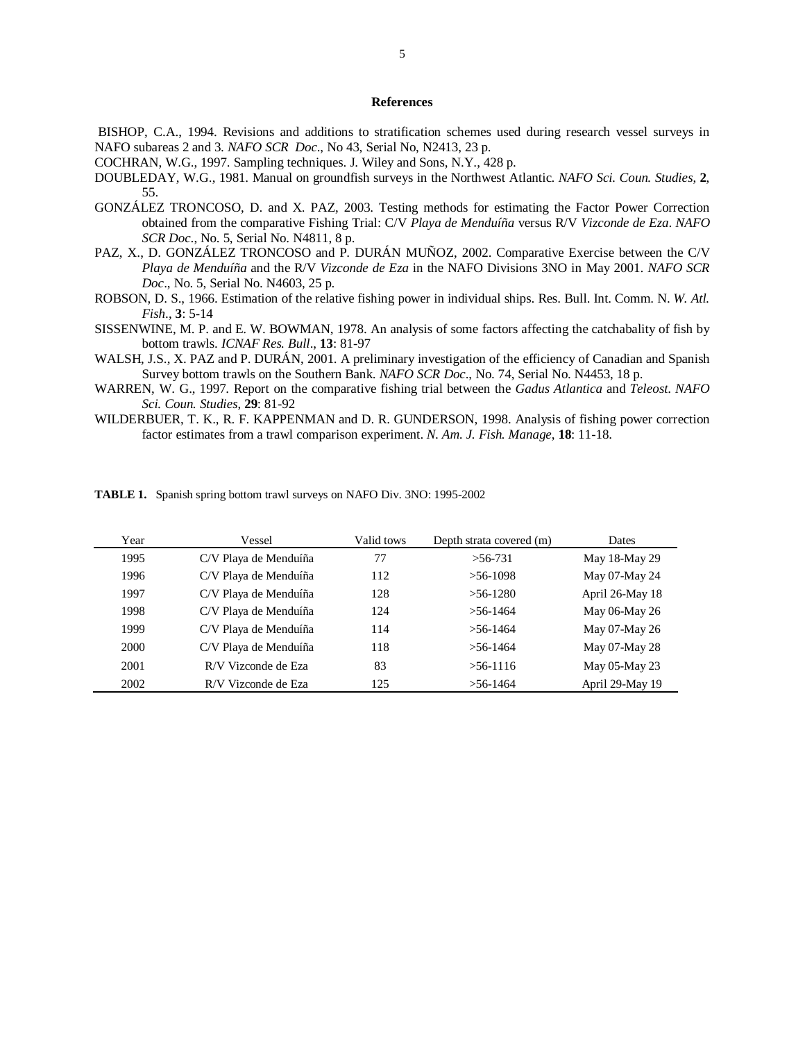# **References**

- BISHOP, C.A., 1994. Revisions and additions to stratification schemes used during research vessel surveys in NAFO subareas 2 and 3*. NAFO SCR Doc*., No 43, Serial No, N2413, 23 p.
- COCHRAN, W.G., 1997. Sampling techniques. J. Wiley and Sons, N.Y., 428 p.
- DOUBLEDAY, W.G., 1981. Manual on groundfish surveys in the Northwest Atlantic. *NAFO Sci. Coun. Studies*, **2**, 55.
- GONZÁLEZ TRONCOSO, D. and X. PAZ, 2003. Testing methods for estimating the Factor Power Correction obtained from the comparative Fishing Trial: C/V *Playa de Menduíña* versus R/V *Vizconde de Eza*. *NAFO SCR Doc*., No. 5, Serial No. N4811, 8 p.
- PAZ, X., D. GONZÁLEZ TRONCOSO and P. DURÁN MUÑOZ, 2002. Comparative Exercise between the C/V *Playa de Menduíña* and the R/V *Vizconde de Eza* in the NAFO Divisions 3NO in May 2001. *NAFO SCR Doc*., No. 5, Serial No. N4603, 25 p.
- ROBSON, D. S., 1966. Estimation of the relative fishing power in individual ships. Res. Bull. Int. Comm. N. *W. Atl. Fish*., **3**: 5-14
- SISSENWINE, M. P. and E. W. BOWMAN, 1978. An analysis of some factors affecting the catchabality of fish by bottom trawls. *ICNAF Res. Bull*., **13**: 81-97
- WALSH, J.S., X. PAZ and P. DURÁN, 2001. A preliminary investigation of the efficiency of Canadian and Spanish Survey bottom trawls on the Southern Bank*. NAFO SCR Doc*., No. 74, Serial No. N4453, 18 p.
- WARREN, W. G., 1997. Report on the comparative fishing trial between the *Gadus Atlantica* and *Teleost*. *NAFO Sci. Coun. Studies*, **29**: 81-92
- WILDERBUER, T. K., R. F. KAPPENMAN and D. R. GUNDERSON, 1998. Analysis of fishing power correction factor estimates from a trawl comparison experiment. *N. Am. J. Fish. Manage*, **18**: 11-18.

| Year | Vessel                | Valid tows | Depth strata covered (m) | Dates           |
|------|-----------------------|------------|--------------------------|-----------------|
| 1995 | C/V Playa de Menduíña | 77         | $>56-731$                | May 18-May 29   |
| 1996 | C/V Playa de Menduíña | 112        | $>56-1098$               | May 07-May 24   |
| 1997 | C/V Playa de Menduíña | 128        | $>56-1280$               | April 26-May 18 |
| 1998 | C/V Playa de Menduíña | 124        | $>56-1464$               | May 06-May 26   |
| 1999 | C/V Playa de Menduíña | 114        | $>56-1464$               | May 07-May 26   |
| 2000 | C/V Playa de Menduíña | 118        | $>56-1464$               | May 07-May 28   |
| 2001 | R/V Vizconde de Eza   | 83         | $>$ 56-1116              | May 05-May 23   |
| 2002 | R/V Vizconde de Eza   | 125        | $>$ 56-1464              | April 29-May 19 |

**TABLE 1.** Spanish spring bottom trawl surveys on NAFO Div. 3NO: 1995-2002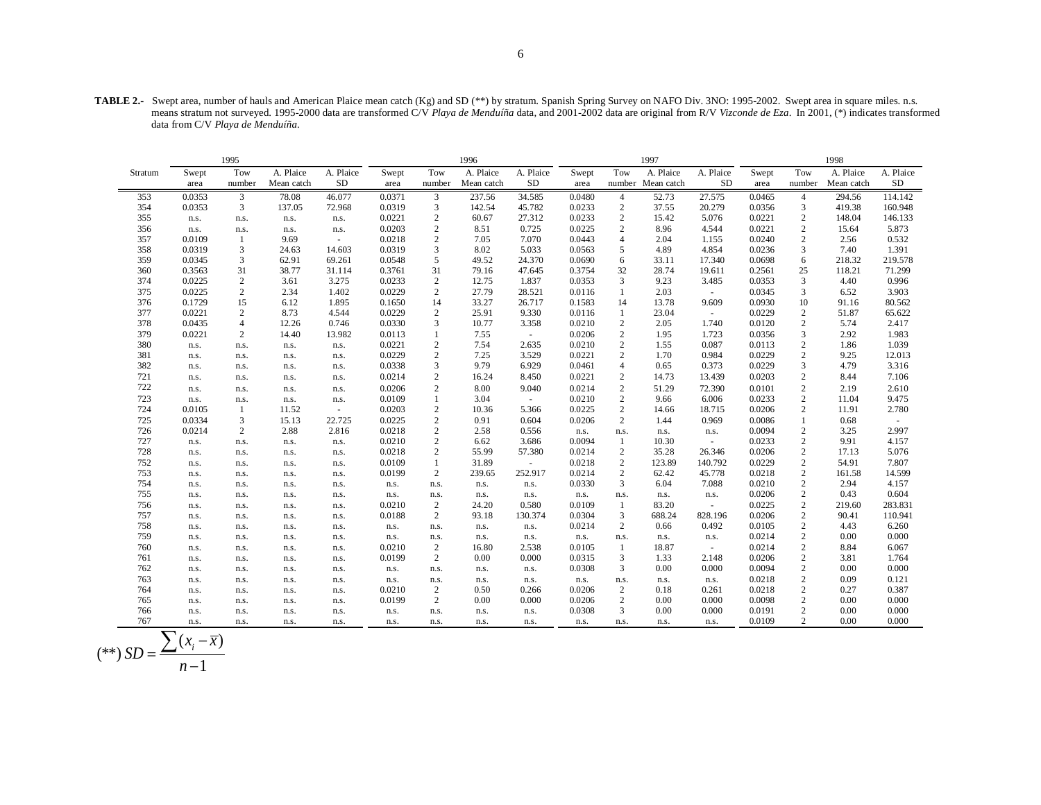**TABLE 2.-** Swept area, number of hauls and American Plaice mean catch (Kg) and SD (\*\*) by stratum. Spanish Spring Survey on NAFO Div. 3NO: 1995-2002. Swept area in square miles. n.s. means stratum not surveyed. 1995-2000 data are transformed C/V *Playa de Menduíña* data, and 2001-2002 data are original from R/V *Vizconde de Eza*. In 2001, (\*) indicates transformed data from C/V *Playa de Menduíña*.

|         |        | 1995             |            |           |        |                  | 1996       |           | 1997   |                |            | 1998                     |        |                         |            |              |
|---------|--------|------------------|------------|-----------|--------|------------------|------------|-----------|--------|----------------|------------|--------------------------|--------|-------------------------|------------|--------------|
| Stratum | Swept  | Tow              | A. Plaice  | A. Plaice | Swept  | Tow              | A. Plaice  | A. Plaice | Swept  | Tow            | A. Plaice  | A. Plaice                | Swept  | Tow                     | A. Plaice  | A. Plaice    |
|         | area   | number           | Mean catch | <b>SD</b> | area   | number           | Mean catch | <b>SD</b> | area   | number         | Mean catch | <b>SD</b>                | area   | number                  | Mean catch | $\rm SD$     |
| 353     | 0.0353 | 3                | 78.08      | 46.077    | 0.0371 | 3                | 237.56     | 34.585    | 0.0480 | $\overline{4}$ | 52.73      | 27.575                   | 0.0465 | $\overline{4}$          | 294.56     | 114.142      |
| 354     | 0.0353 | 3                | 137.05     | 72.968    | 0.0319 | 3                | 142.54     | 45.782    | 0.0233 | $\sqrt{2}$     | 37.55      | 20.279                   | 0.0356 | $\mathfrak{Z}$          | 419.38     | 160.948      |
| 355     | n.s.   | n.s.             | n.s.       | n.s.      | 0.0221 | $\mathbf{2}$     | 60.67      | 27.312    | 0.0233 | $\sqrt{2}$     | 15.42      | 5.076                    | 0.0221 | $\mathbf{2}$            | 148.04     | 146.133      |
| 356     | n.s.   | n.s.             | n.s.       | n.s.      | 0.0203 | $\mathbf{2}$     | 8.51       | 0.725     | 0.0225 | $\mathbf{2}$   | 8.96       | 4.544                    | 0.0221 | 2                       | 15.64      | 5.873        |
| 357     | 0.0109 | 1                | 9.69       | $\sim$    | 0.0218 | $\mathfrak{2}$   | 7.05       | 7.070     | 0.0443 | $\overline{4}$ | 2.04       | 1.155                    | 0.0240 | 2                       | 2.56       | 0.532        |
| 358     | 0.0319 | 3                | 24.63      | 14.603    | 0.0319 | 3                | 8.02       | 5.033     | 0.0563 | 5              | 4.89       | 4.854                    | 0.0236 | 3                       | 7.40       | 1.391        |
| 359     | 0.0345 | 3                | 62.91      | 69.261    | 0.0548 | 5                | 49.52      | 24.370    | 0.0690 | 6              | 33.11      | 17.340                   | 0.0698 | 6                       | 218.32     | 219.578      |
| 360     | 0.3563 | 31               | 38.77      | 31.114    | 0.3761 | 31               | 79.16      | 47.645    | 0.3754 | 32             | 28.74      | 19.611                   | 0.2561 | 25                      | 118.21     | 71.299       |
| 374     | 0.0225 | $\boldsymbol{2}$ | 3.61       | 3.275     | 0.0233 | $\boldsymbol{2}$ | 12.75      | 1.837     | 0.0353 | 3              | 9.23       | 3.485                    | 0.0353 | $\mathfrak{Z}$          | 4.40       | 0.996        |
| 375     | 0.0225 | $\sqrt{2}$       | 2.34       | 1.402     | 0.0229 | $\mathbf{2}$     | 27.79      | 28.521    | 0.0116 | $\mathbf{1}$   | 2.03       | $\sim$                   | 0.0345 | 3                       | 6.52       | 3.903        |
| 376     | 0.1729 | 15               | 6.12       | 1.895     | 0.1650 | 14               | 33.27      | 26.717    | 0.1583 | 14             | 13.78      | 9.609                    | 0.0930 | 10                      | 91.16      | 80.562       |
| 377     | 0.0221 | $\sqrt{2}$       | 8.73       | 4.544     | 0.0229 | $\mathbf{2}$     | 25.91      | 9.330     | 0.0116 | $\mathbf{1}$   | 23.04      | $\sim$                   | 0.0229 | $\sqrt{2}$              | 51.87      | 65.622       |
| 378     | 0.0435 | $\overline{4}$   | 12.26      | 0.746     | 0.0330 | 3                | 10.77      | 3.358     | 0.0210 | $\overline{c}$ | 2.05       | 1.740                    | 0.0120 | $\mathbf{2}$            | 5.74       | 2.417        |
| 379     | 0.0221 | $\mathfrak{2}$   | 14.40      | 13.982    | 0.0113 |                  | 7.55       | $\omega$  | 0.0206 | $\sqrt{2}$     | 1.95       | 1.723                    | 0.0356 | 3                       | 2.92       | 1.983        |
| 380     | n.s.   | n.s.             | n.s.       | n.s.      | 0.0221 | $\mathfrak{2}$   | 7.54       | 2.635     | 0.0210 | $\sqrt{2}$     | 1.55       | 0.087                    | 0.0113 | $\boldsymbol{2}$        | 1.86       | 1.039        |
| 381     | n.s.   | n.s.             | n.s.       | n.s.      | 0.0229 | $\mathfrak{2}$   | 7.25       | 3.529     | 0.0221 | $\overline{c}$ | 1.70       | 0.984                    | 0.0229 | $\overline{c}$          | 9.25       | 12.013       |
| 382     | n.s.   | n.s.             | n.s.       | n.s.      | 0.0338 | 3                | 9.79       | 6.929     | 0.0461 | $\overline{4}$ | 0.65       | 0.373                    | 0.0229 | 3                       | 4.79       | 3.316        |
| 721     | n.s.   | n.s.             | n.s.       | n.s.      | 0.0214 | $\sqrt{2}$       | 16.24      | 8.450     | 0.0221 | $\sqrt{2}$     | 14.73      | 13.439                   | 0.0203 | $\boldsymbol{2}$        | 8.44       | 7.106        |
| 722     | n.s.   | n.s.             | n.s.       | n.s.      | 0.0206 | $\overline{c}$   | 8.00       | 9.040     | 0.0214 | $\overline{c}$ | 51.29      | 72.390                   | 0.0101 | $\mathbf{2}$            | 2.19       | 2.610        |
| 723     | n.s.   | n.s.             | n.s.       | n.s.      | 0.0109 | $\mathbf{1}$     | 3.04       | $\omega$  | 0.0210 | $\sqrt{2}$     | 9.66       | 6.006                    | 0.0233 | $\mathbf{2}$            | 11.04      | 9.475        |
| 724     | 0.0105 | 1                | 11.52      | $\sim$    | 0.0203 | $\mathfrak{2}$   | 10.36      | 5.366     | 0.0225 | $\mathbf{2}$   | 14.66      | 18.715                   | 0.0206 | $\mathbf{2}$            | 11.91      | 2.780        |
| 725     | 0.0334 | 3                | 15.13      | 22.725    | 0.0225 | $\mathbf{2}$     | 0.91       | 0.604     | 0.0206 | $\overline{c}$ | 1.44       | 0.969                    | 0.0086 | $\mathbf{1}$            | 0.68       | $\mathbf{r}$ |
| 726     | 0.0214 | $\mathfrak{2}$   | 2.88       | 2.816     | 0.0218 | $\mathbf{2}$     | 2.58       | 0.556     | n.s.   | n.s.           | n.s.       | n.s.                     | 0.0094 | $\mathbf{2}$            | 3.25       | 2.997        |
| 727     | n.s.   | n.s.             | n.s.       | n.s.      | 0.0210 | $\mathfrak{2}$   | 6.62       | 3.686     | 0.0094 | $\mathbf{1}$   | 10.30      | $\overline{\phantom{a}}$ | 0.0233 | $\overline{c}$          | 9.91       | 4.157        |
| 728     | n.s.   | n.s.             | n.s.       | n.s.      | 0.0218 | $\overline{c}$   | 55.99      | 57.380    | 0.0214 | $\overline{c}$ | 35.28      | 26.346                   | 0.0206 | $\mathbf{2}$            | 17.13      | 5.076        |
| 752     | n.s.   | n.s.             | n.s.       | n.s.      | 0.0109 | $\mathbf{1}$     | 31.89      | ÷.        | 0.0218 | $\sqrt{2}$     | 123.89     | 140.792                  | 0.0229 | $\sqrt{2}$              | 54.91      | 7.807        |
| 753     | n.s.   | n.s.             | n.s.       | n.s.      | 0.0199 | 2                | 239.65     | 252.917   | 0.0214 | $\sqrt{2}$     | 62.42      | 45.778                   | 0.0218 | $\boldsymbol{2}$        | 161.58     | 14.599       |
| 754     | n.s.   | n.s.             | n.s.       | n.s.      | n.s.   | n.s.             | n.s.       | n.s.      | 0.0330 | 3              | 6.04       | 7.088                    | 0.0210 | $\sqrt{2}$              | 2.94       | 4.157        |
| 755     | n.s.   | n.s.             | n.s.       | n.s.      | n.s.   | n.s.             | n.s.       | n.s.      | n.s.   | n.s.           | n.s.       | n.s.                     | 0.0206 | $\boldsymbol{2}$        | 0.43       | 0.604        |
| 756     | n.s.   | n.s.             | n.s.       | n.s.      | 0.0210 | $\sqrt{2}$       | 24.20      | 0.580     | 0.0109 | $\mathbf{1}$   | 83.20      | $\omega$                 | 0.0225 | $\overline{\mathbf{c}}$ | 219.60     | 283.831      |
| 757     | n.s.   | n.s.             | n.s.       | n.s.      | 0.0188 | $\overline{c}$   | 93.18      | 130.374   | 0.0304 | 3              | 688.24     | 828.196                  | 0.0206 | $\mathbf{2}$            | 90.41      | 110.941      |
| 758     | n.s.   | n.s.             | n.s.       | n.s.      | n.s.   | n.s.             | n.s.       | n.s.      | 0.0214 | $\mathbf{2}$   | 0.66       | 0.492                    | 0.0105 | $\overline{c}$          | 4.43       | 6.260        |
| 759     | n.s.   | n.s.             | n.s.       | n.s.      | n.s.   | n.s.             | n.s.       | n.s.      | n.s.   | n.s.           | n.s.       | n.s.                     | 0.0214 | $\boldsymbol{2}$        | 0.00       | 0.000        |
| 760     | n.s.   | n.s.             | n.s.       | n.s.      | 0.0210 | $\overline{c}$   | 16.80      | 2.538     | 0.0105 | $\mathbf{1}$   | 18.87      | $\sim$                   | 0.0214 | $\mathbf{2}$            | 8.84       | 6.067        |
| 761     | n.s.   | n.s.             | n.s.       | n.s.      | 0.0199 | $\mathfrak{2}$   | 0.00       | 0.000     | 0.0315 | 3              | 1.33       | 2.148                    | 0.0206 | $\mathbf{2}$            | 3.81       | 1.764        |
| 762     | n.s.   | n.s.             | n.s.       | n.s.      | n.s.   | n.s.             | n.s.       | n.s.      | 0.0308 | 3              | 0.00       | 0.000                    | 0.0094 | 2                       | 0.00       | 0.000        |
| 763     | n.s.   | n.s.             | n.s.       | n.s.      | n.s.   | n.s.             | n.s.       | n.s.      | n.s.   | n.s.           | n.s.       | n.s.                     | 0.0218 | 2                       | 0.09       | 0.121        |
| 764     | n.s.   | n.s.             | n.s.       | n.s.      | 0.0210 | $\sqrt{2}$       | 0.50       | 0.266     | 0.0206 | $\overline{c}$ | 0.18       | 0.261                    | 0.0218 | $\sqrt{2}$              | 0.27       | 0.387        |
| 765     | n.s.   | n.s.             | n.s.       | n.s.      | 0.0199 | 2                | 0.00       | 0.000     | 0.0206 | $\overline{c}$ | 0.00       | 0.000                    | 0.0098 | $\mathbf{2}$            | 0.00       | 0.000        |
| 766     | n.s.   | n.s.             | n.s.       | n.s.      | n.s.   | n.s.             | n.s.       | n.s.      | 0.0308 | 3              | 0.00       | 0.000                    | 0.0191 | 2                       | 0.00       | 0.000        |
| 767     | n.s.   | n.s.             | n.s.       | n.s.      | n.s.   | n.s.             | n.s.       | n.s.      | n.s.   | n.s.           | n.s.       | n.s.                     | 0.0109 | 2                       | 0.00       | 0.000        |

$$
(**) SD = \frac{\sum (x_i - \overline{x})}{n-1}
$$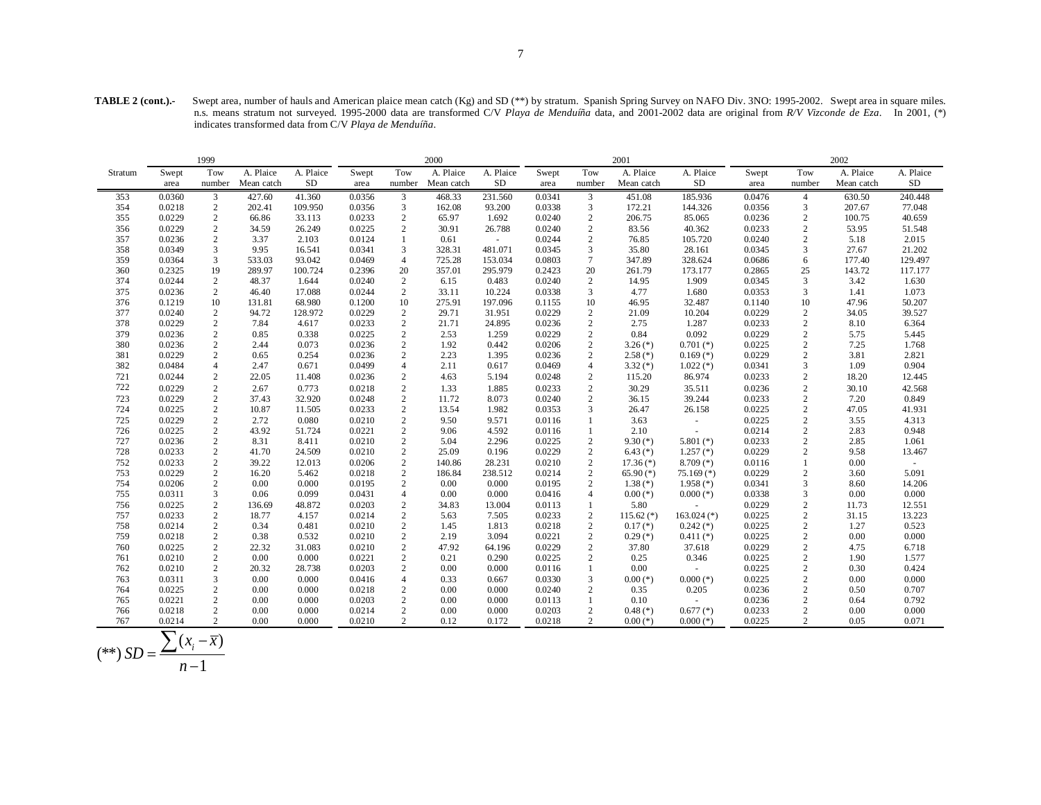**TABLE 2 (cont.).-** Swept area, number of hauls and American plaice mean catch (Kg) and SD (\*\*) by stratum. Spanish Spring Survey on NAFO Div. 3NO: 1995-2002. Swept area in square miles. n.s. means stratum not surveyed. 1995-2000 data are transformed C/V *Playa de Menduíña* data, and 2001-2002 data are original from *R/V Vizconde de Eza*. In 2001, (\*) indicates transformed data from C/V *Playa de Menduíña*.

|         |                          | 1999           |            |           |        |                  | 2000       |           | 2001   |                 |              |               | 2002   |                  |            |            |
|---------|--------------------------|----------------|------------|-----------|--------|------------------|------------|-----------|--------|-----------------|--------------|---------------|--------|------------------|------------|------------|
| Stratum | Swept                    | Tow            | A. Plaice  | A. Plaice | Swept  | Tow              | A. Plaice  | A. Plaice | Swept  | Tow             | A. Plaice    | A. Plaice     | Swept  | Tow              | A. Plaice  | A. Plaice  |
|         | area                     | number         | Mean catch | <b>SD</b> | area   | number           | Mean catch | <b>SD</b> | area   | number          | Mean catch   | <b>SD</b>     | area   | number           | Mean catch | ${\rm SD}$ |
| 353     | 0.0360                   | 3              | 427.60     | 41.360    | 0.0356 | 3                | 468.33     | 231.560   | 0.0341 | 3               | 451.08       | 185.936       | 0.0476 | 4                | 630.50     | 240.448    |
| 354     | 0.0218                   | 2              | 202.41     | 109.950   | 0.0356 | $\mathfrak{Z}$   | 162.08     | 93.200    | 0.0338 | $\mathfrak{Z}$  | 172.21       | 144.326       | 0.0356 | 3                | 207.67     | 77.048     |
| 355     | 0.0229                   | $\overline{c}$ | 66.86      | 33.113    | 0.0233 | $\sqrt{2}$       | 65.97      | 1.692     | 0.0240 | $\overline{c}$  | 206.75       | 85.065        | 0.0236 | $\sqrt{2}$       | 100.75     | 40.659     |
| 356     | 0.0229                   | 2              | 34.59      | 26.249    | 0.0225 | $\mathbf{2}$     | 30.91      | 26.788    | 0.0240 | 2               | 83.56        | 40.362        | 0.0233 | 2                | 53.95      | 51.548     |
| 357     | 0.0236                   | 2              | 3.37       | 2.103     | 0.0124 | 1                | 0.61       | $\sim$    | 0.0244 | $\sqrt{2}$      | 76.85        | 105.720       | 0.0240 | $\overline{2}$   | 5.18       | 2.015      |
| 358     | 0.0349                   | 3              | 9.95       | 16.541    | 0.0341 | 3                | 328.31     | 481.071   | 0.0345 | 3               | 35.80        | 28.161        | 0.0345 | 3                | 27.67      | 21.202     |
| 359     | 0.0364                   | 3              | 533.03     | 93.042    | 0.0469 | $\overline{4}$   | 725.28     | 153.034   | 0.0803 | $7\phantom{.0}$ | 347.89       | 328.624       | 0.0686 | 6                | 177.40     | 129.497    |
| 360     | 0.2325                   | 19             | 289.97     | 100.724   | 0.2396 | $20\,$           | 357.01     | 295.979   | 0.2423 | 20              | 261.79       | 173.177       | 0.2865 | 25               | 143.72     | 117.177    |
| 374     | 0.0244                   | 2              | 48.37      | 1.644     | 0.0240 | $\overline{2}$   | 6.15       | 0.483     | 0.0240 | 2               | 14.95        | 1.909         | 0.0345 | 3                | 3.42       | 1.630      |
| 375     | 0.0236                   | 2              | 46.40      | 17.088    | 0.0244 | $\overline{c}$   | 33.11      | 10.224    | 0.0338 | 3               | 4.77         | 1.680         | 0.0353 | 3                | 1.41       | 1.073      |
| 376     | 0.1219                   | 10             | 131.81     | 68.980    | 0.1200 | 10               | 275.91     | 197.096   | 0.1155 | 10              | 46.95        | 32.487        | 0.1140 | 10               | 47.96      | 50.207     |
| 377     | 0.0240                   | 2              | 94.72      | 128.972   | 0.0229 | $\sqrt{2}$       | 29.71      | 31.951    | 0.0229 | $\overline{c}$  | 21.09        | 10.204        | 0.0229 | $\sqrt{2}$       | 34.05      | 39.527     |
| 378     | 0.0229                   | 2              | 7.84       | 4.617     | 0.0233 | $\mathbf{2}$     | 21.71      | 24.895    | 0.0236 | $\overline{c}$  | 2.75         | 1.287         | 0.0233 | $\overline{2}$   | 8.10       | 6.364      |
| 379     | 0.0236                   | 2              | 0.85       | 0.338     | 0.0225 | $\mathbf{2}$     | 2.53       | 1.259     | 0.0229 | 2               | 0.84         | 0.092         | 0.0229 | $\overline{2}$   | 5.75       | 5.445      |
| 380     | 0.0236                   | $\overline{c}$ | 2.44       | 0.073     | 0.0236 | $\sqrt{2}$       | 1.92       | 0.442     | 0.0206 | $\sqrt{2}$      | $3.26$ (*)   | $0.701$ (*)   | 0.0225 | $\sqrt{2}$       | 7.25       | 1.768      |
| 381     | 0.0229                   | 2              | 0.65       | 0.254     | 0.0236 | $\mathbf{2}$     | 2.23       | 1.395     | 0.0236 | $\overline{c}$  | $2.58$ (*)   | $0.169$ (*)   | 0.0229 | $\sqrt{2}$       | 3.81       | 2.821      |
| 382     | 0.0484                   | $\overline{4}$ | 2.47       | 0.671     | 0.0499 | $\overline{4}$   | 2.11       | 0.617     | 0.0469 | $\overline{4}$  | $3.32$ (*)   | $1.022$ (*)   | 0.0341 | 3                | 1.09       | 0.904      |
| 721     | 0.0244                   | 2              | 22.05      | 11.408    | 0.0236 | $\sqrt{2}$       | 4.63       | 5.194     | 0.0248 | 2               | 115.20       | 86.974        | 0.0233 | $\overline{2}$   | 18.20      | 12.445     |
| 722     | 0.0229                   | $\sqrt{2}$     | 2.67       | 0.773     | 0.0218 | $\sqrt{2}$       | 1.33       | 1.885     | 0.0233 | $\sqrt{2}$      | 30.29        | 35.511        | 0.0236 | $\sqrt{2}$       | 30.10      | 42.568     |
| 723     | 0.0229                   | 2              | 37.43      | 32.920    | 0.0248 | $\mathbf{2}$     | 11.72      | 8.073     | 0.0240 | 2               | 36.15        | 39.244        | 0.0233 | $\overline{2}$   | 7.20       | 0.849      |
| 724     | 0.0225                   | $\sqrt{2}$     | 10.87      | 11.505    | 0.0233 | $\sqrt{2}$       | 13.54      | 1.982     | 0.0353 | 3               | 26.47        | 26.158        | 0.0225 | $\sqrt{2}$       | 47.05      | 41.931     |
| 725     | 0.0229                   | $\sqrt{2}$     | 2.72       | 0.080     | 0.0210 | $\sqrt{2}$       | 9.50       | 9.571     | 0.0116 | -1              | 3.63         | $\omega$      | 0.0225 | $\sqrt{2}$       | 3.55       | 4.313      |
| 726     | 0.0225                   | 2              | 43.92      | 51.724    | 0.0221 | 2                | 9.06       | 4.592     | 0.0116 | -1              | 2.10         | $\sim$        | 0.0214 | 2                | 2.83       | 0.948      |
| 727     | 0.0236                   | 2              | 8.31       | 8.411     | 0.0210 | $\sqrt{2}$       | 5.04       | 2.296     | 0.0225 | 2               | $9.30(*)$    | 5.801 $(*)$   | 0.0233 | $\overline{2}$   | 2.85       | 1.061      |
| 728     | 0.0233                   | 2              | 41.70      | 24.509    | 0.0210 | $\sqrt{2}$       | 25.09      | 0.196     | 0.0229 | $\overline{2}$  | $6.43$ (*)   | $1.257$ (*)   | 0.0229 | $\overline{2}$   | 9.58       | 13.467     |
| 752     | 0.0233                   | $\overline{c}$ | 39.22      | 12.013    | 0.0206 | $\sqrt{2}$       | 140.86     | 28.231    | 0.0210 | $\overline{c}$  | $17.36(*)$   | $8.709$ (*)   | 0.0116 | $\mathbf{1}$     | 0.00       | $\sim$     |
| 753     | 0.0229                   | $\overline{2}$ | 16.20      | 5.462     | 0.0218 | $\mathbf{2}$     | 186.84     | 238.512   | 0.0214 | 2               | $65.90(*)$   | $75.169$ (*)  | 0.0229 | $\overline{c}$   | 3.60       | 5.091      |
| 754     | 0.0206                   | 2              | 0.00       | 0.000     | 0.0195 | 2                | 0.00       | 0.000     | 0.0195 | 2               | $1.38$ (*)   | $1.958$ (*)   | 0.0341 | 3                | 8.60       | 14.206     |
| 755     | 0.0311                   | 3              | 0.06       | 0.099     | 0.0431 | $\overline{4}$   | 0.00       | 0.000     | 0.0416 | $\overline{4}$  | $0.00$ (*)   | $0.000$ (*)   | 0.0338 | 3                | 0.00       | 0.000      |
| 756     | 0.0225                   | 2              | 136.69     | 48.872    | 0.0203 | $\mathbf{2}$     | 34.83      | 13.004    | 0.0113 | -1              | 5.80         | $\sim$        | 0.0229 | $\overline{2}$   | 11.73      | 12.551     |
| 757     | 0.0233                   | $\overline{c}$ | 18.77      | 4.157     | 0.0214 | $\sqrt{2}$       | 5.63       | 7.505     | 0.0233 | $\overline{2}$  | $115.62$ (*) | $163.024$ (*) | 0.0225 | $\sqrt{2}$       | 31.15      | 13.223     |
| 758     | 0.0214                   | $\overline{c}$ | 0.34       | 0.481     | 0.0210 | $\sqrt{2}$       | 1.45       | 1.813     | 0.0218 | $\sqrt{2}$      | $0.17$ $(*)$ | $0.242$ (*)   | 0.0225 | $\sqrt{2}$       | 1.27       | 0.523      |
| 759     | 0.0218                   | $\overline{c}$ | 0.38       | 0.532     | 0.0210 | $\sqrt{2}$       | 2.19       | 3.094     | 0.0221 | $\overline{2}$  | $0.29$ (*)   | $0.411$ (*)   | 0.0225 | $\sqrt{2}$       | 0.00       | 0.000      |
| 760     | 0.0225                   | 2              | 22.32      | 31.083    | 0.0210 | $\sqrt{2}$       | 47.92      | 64.196    | 0.0229 | 2               | 37.80        | 37.618        | 0.0229 | $\overline{2}$   | 4.75       | 6.718      |
| 761     | 0.0210                   | 2              | 0.00       | 0.000     | 0.0221 | $\sqrt{2}$       | 0.21       | 0.290     | 0.0225 | $\overline{2}$  | 0.25         | 0.346         | 0.0225 | $\overline{2}$   | 1.90       | 1.577      |
| 762     | 0.0210                   | 2              | 20.32      | 28.738    | 0.0203 | $\sqrt{2}$       | 0.00       | 0.000     | 0.0116 | -1              | 0.00         | $\sim$        | 0.0225 | $\overline{c}$   | 0.30       | 0.424      |
| 763     | 0.0311                   | 3              | $0.00\,$   | 0.000     | 0.0416 | $\overline{4}$   | 0.33       | 0.667     | 0.0330 | 3               | $0.00$ (*)   | $0.000$ (*)   | 0.0225 | $\overline{c}$   | 0.00       | 0.000      |
| 764     | 0.0225                   | $\sqrt{2}$     | 0.00       | 0.000     | 0.0218 | $\sqrt{2}$       | 0.00       | 0.000     | 0.0240 | $\sqrt{2}$      | 0.35         | 0.205         | 0.0236 | $\sqrt{2}$       | 0.50       | 0.707      |
| 765     | 0.0221                   | 2              | 0.00       | 0.000     | 0.0203 | $\sqrt{2}$       | 0.00       | 0.000     | 0.0113 | $\mathbf{1}$    | 0.10         |               | 0.0236 | $\sqrt{2}$       | 0.64       | 0.792      |
| 766     | 0.0218                   | $\overline{c}$ | 0.00       | 0.000     | 0.0214 | $\boldsymbol{2}$ | 0.00       | 0.000     | 0.0203 | $\overline{2}$  | $0.48$ (*)   | $0.677$ (*)   | 0.0233 | $\boldsymbol{2}$ | 0.00       | 0.000      |
| 767     | 0.0214                   | $\overline{2}$ | 0.00       | 0.000     | 0.0210 | $\overline{2}$   | 0.12       | 0.172     | 0.0218 | $\overline{2}$  | $0.00$ (*)   | $0.000$ (*)   | 0.0225 | $\overline{2}$   | 0.05       | 0.071      |
|         | $\overline{\phantom{0}}$ |                |            |           |        |                  |            |           |        |                 |              |               |        |                  |            |            |

$$
(**) SD = \frac{\sum (x_i - \overline{x})}{n - 1}
$$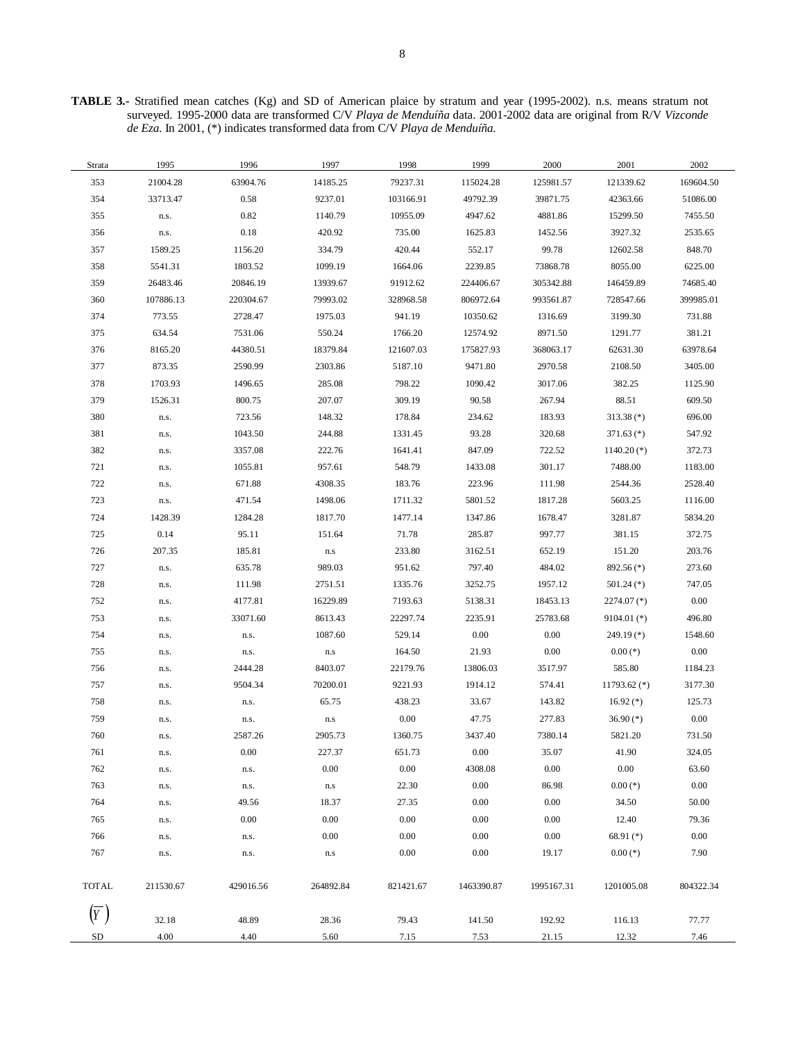**TABLE 3.-** Stratified mean catches (Kg) and SD of American plaice by stratum and year (1995-2002). n.s. means stratum not surveyed. 1995-2000 data are transformed C/V *Playa de Menduíña* data. 2001-2002 data are original from R/V *Vizconde de Eza*. In 2001, (\*) indicates transformed data from C/V *Playa de Menduíña*.

| Strata     | 1995      | 1996      | 1997      | 1998      | 1999       | 2000       | 2001           | 2002      |
|------------|-----------|-----------|-----------|-----------|------------|------------|----------------|-----------|
| 353        | 21004.28  | 63904.76  | 14185.25  | 79237.31  | 115024.28  | 125981.57  | 121339.62      | 169604.50 |
| 354        | 33713.47  | 0.58      | 9237.01   | 103166.91 | 49792.39   | 39871.75   | 42363.66       | 51086.00  |
| 355        | n.s.      | 0.82      | 1140.79   | 10955.09  | 4947.62    | 4881.86    | 15299.50       | 7455.50   |
| 356        | n.s.      | 0.18      | 420.92    | 735.00    | 1625.83    | 1452.56    | 3927.32        | 2535.65   |
| 357        | 1589.25   | 1156.20   | 334.79    | 420.44    | 552.17     | 99.78      | 12602.58       | 848.70    |
| 358        | 5541.31   | 1803.52   | 1099.19   | 1664.06   | 2239.85    | 73868.78   | 8055.00        | 6225.00   |
| 359        | 26483.46  | 20846.19  | 13939.67  | 91912.62  | 224406.67  | 305342.88  | 146459.89      | 74685.40  |
| 360        | 107886.13 | 220304.67 | 79993.02  | 328968.58 | 806972.64  | 993561.87  | 728547.66      | 399985.01 |
| 374        | 773.55    | 2728.47   | 1975.03   | 941.19    | 10350.62   | 1316.69    | 3199.30        | 731.88    |
| 375        | 634.54    | 7531.06   | 550.24    | 1766.20   | 12574.92   | 8971.50    | 1291.77        | 381.21    |
| 376        | 8165.20   | 44380.51  | 18379.84  | 121607.03 | 175827.93  | 368063.17  | 62631.30       | 63978.64  |
| 377        | 873.35    | 2590.99   | 2303.86   | 5187.10   | 9471.80    | 2970.58    | 2108.50        | 3405.00   |
| 378        | 1703.93   | 1496.65   | 285.08    | 798.22    | 1090.42    | 3017.06    | 382.25         | 1125.90   |
| 379        | 1526.31   | 800.75    | 207.07    | 309.19    | 90.58      | 267.94     | 88.51          | 609.50    |
| 380        | n.s.      | 723.56    | 148.32    | 178.84    | 234.62     | 183.93     | $313.38$ (*)   | 696.00    |
| 381        | n.s.      | 1043.50   | 244.88    | 1331.45   | 93.28      | 320.68     | $371.63$ (*)   | 547.92    |
| 382        | n.s.      | 3357.08   | 222.76    | 1641.41   | 847.09     | 722.52     | $1140.20$ (*)  | 372.73    |
| 721        | n.s.      | 1055.81   | 957.61    | 548.79    | 1433.08    | 301.17     | 7488.00        | 1183.00   |
| 722        | n.s.      | 671.88    | 4308.35   | 183.76    | 223.96     | 111.98     | 2544.36        | 2528.40   |
| 723        | n.s.      | 471.54    | 1498.06   | 1711.32   | 5801.52    | 1817.28    | 5603.25        | 1116.00   |
| 724        | 1428.39   | 1284.28   | 1817.70   | 1477.14   | 1347.86    | 1678.47    | 3281.87        | 5834.20   |
| 725        | 0.14      | 95.11     | 151.64    | 71.78     | 285.87     | 997.77     | 381.15         | 372.75    |
| 726        | 207.35    | 185.81    | $\rm n.s$ | 233.80    | 3162.51    | 652.19     | 151.20         | 203.76    |
| 727        | n.s.      | 635.78    | 989.03    | 951.62    | 797.40     | 484.02     | 892.56 (*)     | 273.60    |
| 728        | n.s.      | 111.98    | 2751.51   | 1335.76   | 3252.75    | 1957.12    | $501.24$ (*)   | 747.05    |
| 752        | n.s.      | 4177.81   | 16229.89  | 7193.63   | 5138.31    | 18453.13   | $2274.07$ (*)  | $0.00\,$  |
| 753        | n.s.      | 33071.60  | 8613.43   | 22297.74  | 2235.91    | 25783.68   | $9104.01$ (*)  | 496.80    |
| 754        | n.s.      | n.s.      | 1087.60   | 529.14    | $0.00\,$   | 0.00       | 249.19 $(*)$   | 1548.60   |
| 755        | n.s.      | n.s.      | $\rm n.s$ | 164.50    | 21.93      | 0.00       | $0.00$ (*)     | $0.00\,$  |
| 756        | n.s.      | 2444.28   | 8403.07   | 22179.76  | 13806.03   | 3517.97    | 585.80         | 1184.23   |
| 757        | n.s.      | 9504.34   | 70200.01  | 9221.93   | 1914.12    | 574.41     | 11793.62 $(*)$ | 3177.30   |
| 758        | n.s.      | n.s.      | 65.75     | 438.23    | 33.67      | 143.82     | $16.92$ (*)    | 125.73    |
| 759        | n.s.      | n.s.      | $\rm n.s$ | 0.00      | 47.75      | 277.83     | $36.90$ (*)    | $0.00\,$  |
| 760        | n.s.      | 2587.26   | 2905.73   | 1360.75   | 3437.40    | 7380.14    | 5821.20        | 731.50    |
| 761        | n.s.      | $0.00\,$  | 227.37    | 651.73    | 0.00       | 35.07      | 41.90          | 324.05    |
| 762        | n.s.      | n.s.      | 0.00      | 0.00      | 4308.08    | 0.00       | 0.00           | 63.60     |
| 763        | n.s.      | n.s.      | $\rm n.s$ | 22.30     | $0.00\,$   | 86.98      | $0.00$ (*)     | $0.00\,$  |
| 764        | n.s.      | 49.56     | 18.37     | 27.35     | 0.00       | 0.00       | 34.50          | 50.00     |
| 765        | n.s.      | 0.00      | 0.00      | 0.00      | 0.00       | 0.00       | 12.40          | 79.36     |
| 766        | n.s.      | n.s.      | $0.00\,$  | 0.00      | 0.00       | 0.00       | $68.91$ (*)    | $0.00\,$  |
| 767        | n.s.      | n.s.      | $\rm n.s$ | 0.00      | $0.00\,$   | 19.17      | $0.00$ (*)     | 7.90      |
| TOTAL      | 211530.67 | 429016.56 | 264892.84 | 821421.67 | 1463390.87 | 1995167.31 | 1201005.08     | 804322.34 |
| $\sqrt{Y}$ | 32.18     | 48.89     | 28.36     | 79.43     | 141.50     | 192.92     | 116.13         | 77.77     |
| ${\rm SD}$ | 4.00      | 4.40      | 5.60      | 7.15      | 7.53       | 21.15      | 12.32          | 7.46      |
|            |           |           |           |           |            |            |                |           |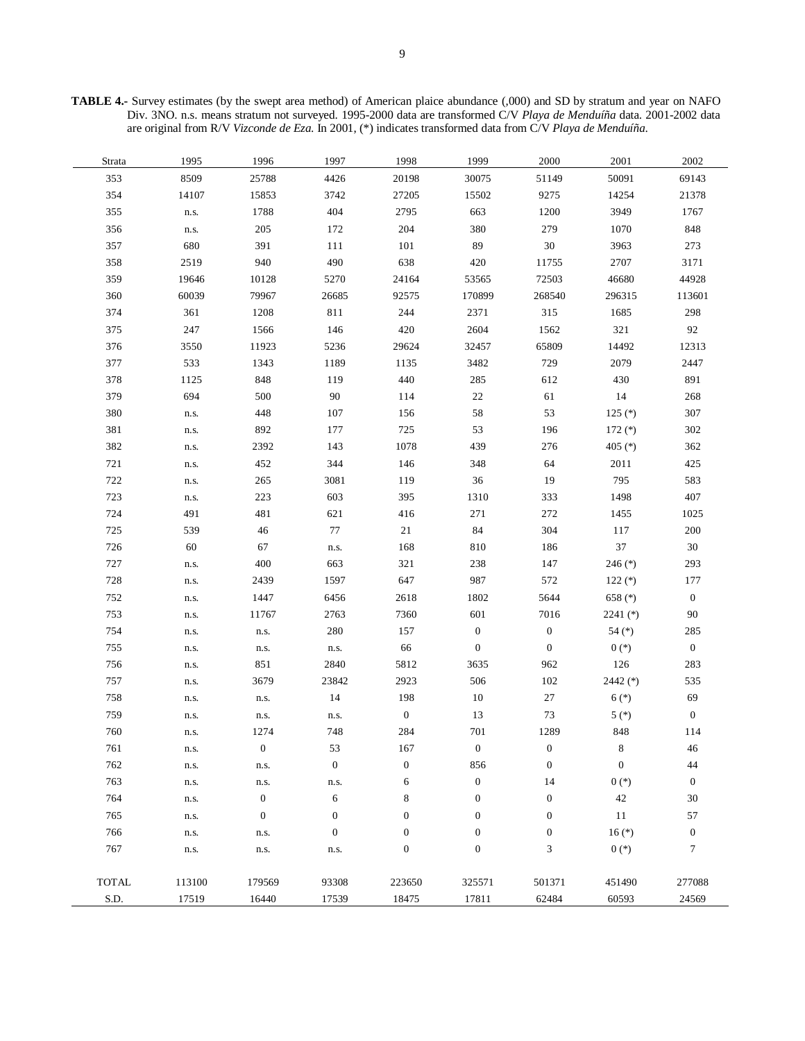**TABLE 4.-** Survey estimates (by the swept area method) of American plaice abundance (,000) and SD by stratum and year on NAFO Div. 3NO. n.s. means stratum not surveyed. 1995-2000 data are transformed C/V *Playa de Menduíña* data. 2001-2002 data are original from R/V *Vizconde de Eza*. In 2001, (\*) indicates transformed data from C/V *Playa de Menduíña*.

| Strata       | 1995   | 1996             | 1997             | 1998             | 1999             | 2000             | 2001             | 2002             |
|--------------|--------|------------------|------------------|------------------|------------------|------------------|------------------|------------------|
| 353          | 8509   | 25788            | 4426             | 20198            | 30075            | 51149            | 50091            | 69143            |
| 354          | 14107  | 15853            | 3742             | 27205            | 15502            | 9275             | 14254            | 21378            |
| 355          | n.s.   | 1788             | 404              | 2795             | 663              | 1200             | 3949             | 1767             |
| 356          | n.s.   | 205              | 172              | 204              | 380              | 279              | 1070             | 848              |
| 357          | 680    | 391              | 111              | 101              | 89               | $30\,$           | 3963             | 273              |
| 358          | 2519   | 940              | 490              | 638              | 420              | 11755            | 2707             | 3171             |
| 359          | 19646  | 10128            | 5270             | 24164            | 53565            | 72503            | 46680            | 44928            |
| 360          | 60039  | 79967            | 26685            | 92575            | 170899           | 268540           | 296315           | 113601           |
| 374          | 361    | 1208             | 811              | 244              | 2371             | 315              | 1685             | 298              |
| 375          | 247    | 1566             | 146              | 420              | 2604             | 1562             | 321              | 92               |
| 376          | 3550   | 11923            | 5236             | 29624            | 32457            | 65809            | 14492            | 12313            |
| 377          | 533    | 1343             | 1189             | 1135             | 3482             | 729              | 2079             | 2447             |
| 378          | 1125   | 848              | 119              | 440              | 285              | 612              | 430              | 891              |
| 379          | 694    | 500              | $90\,$           | 114              | 22               | 61               | 14               | 268              |
| 380          | n.s.   | 448              | 107              | 156              | 58               | 53               | $125$ (*)        | 307              |
| 381          | n.s.   | 892              | 177              | 725              | 53               | 196              | 172 $(*)$        | 302              |
| 382          | n.s.   | 2392             | 143              | 1078             | 439              | 276              | 405 $(*)$        | 362              |
| 721          | n.s.   | 452              | 344              | 146              | 348              | 64               | 2011             | 425              |
| 722          | n.s.   | 265              | 3081             | 119              | 36               | 19               | 795              | 583              |
| 723          | n.s.   | 223              | 603              | 395              | 1310             | 333              | 1498             | 407              |
| 724          | 491    | 481              | 621              | 416              | 271              | 272              | 1455             | 1025             |
| 725          | 539    | 46               | 77               | 21               | 84               | 304              | 117              | 200              |
| 726          | 60     | 67               | n.s.             | 168              | 810              | 186              | 37               | $30\,$           |
| 727          | n.s.   | 400              | 663              | 321              | 238              | 147              | 246 $(*)$        | 293              |
| 728          | n.s.   | 2439             | 1597             | 647              | 987              | 572              | $122$ (*)        | 177              |
| 752          | n.s.   | 1447             | 6456             | 2618             | 1802             | 5644             | 658 (*)          | $\boldsymbol{0}$ |
| 753          | n.s.   | 11767            | 2763             | 7360             | 601              | 7016             | 2241 $(*)$       | 90               |
| 754          | n.s.   | n.s.             | 280              | 157              | $\boldsymbol{0}$ | $\boldsymbol{0}$ | 54 $(*)$         | 285              |
| 755          | n.s.   | n.s.             | n.s.             | 66               | $\mathbf{0}$     | $\boldsymbol{0}$ | $0(*)$           | $\boldsymbol{0}$ |
| 756          | n.s.   | 851              | 2840             | 5812             | 3635             | 962              | 126              | 283              |
| 757          | n.s.   | 3679             | 23842            | 2923             | 506              | 102              | 2442 (*)         | 535              |
| 758          | n.s.   | n.s.             | 14               | 198              | 10               | 27               | $6(*)$           | 69               |
| 759          | n.s.   | n.s.             | n.s.             | $\boldsymbol{0}$ | 13               | $73\,$           | $5 (*)$          | $\boldsymbol{0}$ |
| 760          | n.s.   | 1274             | 748              | 284              | 701              | 1289             | 848              | 114              |
| 761          | n.s.   | $\boldsymbol{0}$ | 53               | 167              | $\boldsymbol{0}$ | 0                | 8                | 46               |
| 762          | n.s.   | n.s.             | $\boldsymbol{0}$ | $\boldsymbol{0}$ | 856              | $\boldsymbol{0}$ | $\boldsymbol{0}$ | 44               |
| 763          | n.s.   | n.s.             | n.s.             | 6                | $\boldsymbol{0}$ | 14               | $0 (*)$          | $\mathbf{0}$     |
| 764          | n.s.   | $\boldsymbol{0}$ | 6                | $\,$ 8 $\,$      | $\boldsymbol{0}$ | $\boldsymbol{0}$ | 42               | 30               |
| 765          | n.s.   | $\boldsymbol{0}$ | $\boldsymbol{0}$ | $\boldsymbol{0}$ | $\boldsymbol{0}$ | $\boldsymbol{0}$ | 11               | 57               |
| 766          | n.s.   | n.s.             | $\boldsymbol{0}$ | $\boldsymbol{0}$ | $\boldsymbol{0}$ | $\boldsymbol{0}$ | $16(*)$          | $\boldsymbol{0}$ |
| 767          | n.s.   | n.s.             | n.s.             | $\boldsymbol{0}$ | $\boldsymbol{0}$ | 3                | $0(*)$           | $\tau$           |
|              |        |                  |                  |                  |                  |                  |                  |                  |
| <b>TOTAL</b> | 113100 | 179569           | 93308            | 223650           | 325571           | 501371           | 451490           | 277088           |
| S.D.         | 17519  | 16440            | 17539            | 18475            | 17811            | 62484            | 60593            | 24569            |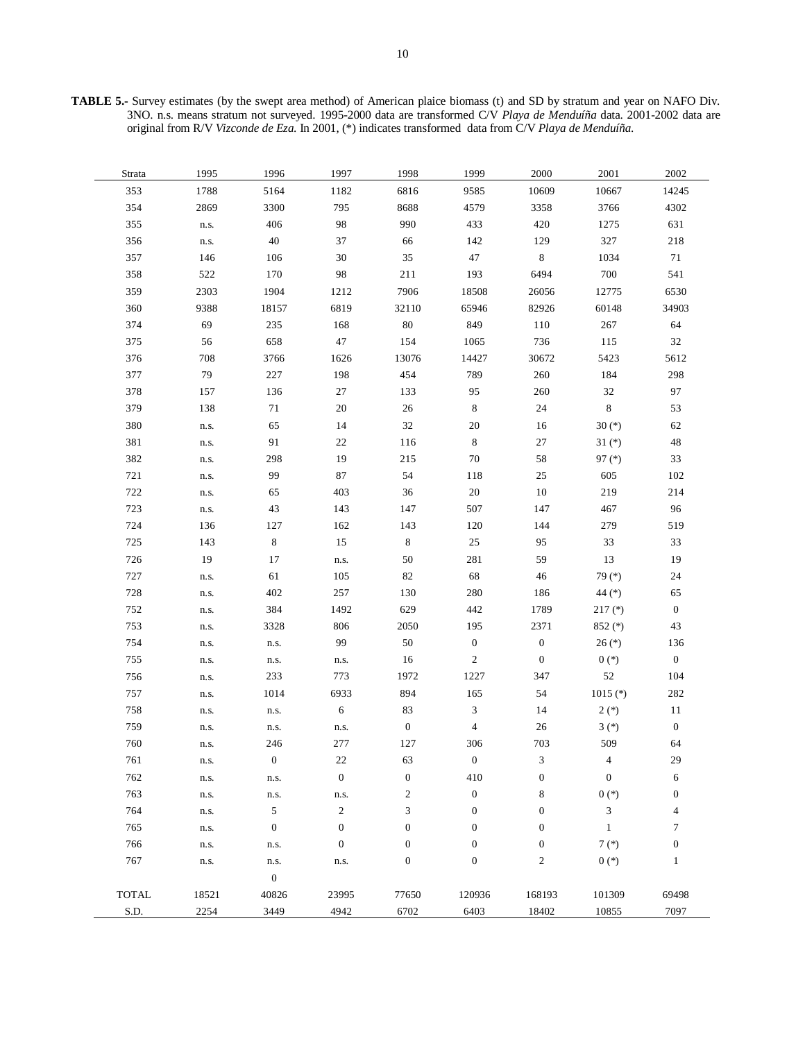**TABLE 5.-** Survey estimates (by the swept area method) of American plaice biomass (t) and SD by stratum and year on NAFO Div. 3NO. n.s. means stratum not surveyed. 1995-2000 data are transformed C/V *Playa de Menduíña* data. 2001-2002 data are original from R/V *Vizconde de Eza*. In 2001, (\*) indicates transformed data from C/V *Playa de Menduíña*.

| Strata       | 1995  | 1996             | 1997             | 1998             | 1999                     | 2000             | 2001             | 2002                     |
|--------------|-------|------------------|------------------|------------------|--------------------------|------------------|------------------|--------------------------|
| 353          | 1788  | 5164             | 1182             | 6816             | 9585                     | 10609            | 10667            | 14245                    |
| 354          | 2869  | 3300             | 795              | 8688             | 4579                     | 3358             | 3766             | 4302                     |
| 355          | n.s.  | 406              | 98               | 990              | 433                      | 420              | 1275             | 631                      |
| 356          | n.s.  | $40\,$           | 37               | 66               | 142                      | 129              | 327              | 218                      |
| 357          | 146   | 106              | $30\,$           | 35               | $47\,$                   | $\,8\,$          | 1034             | 71                       |
| 358          | 522   | 170              | 98               | 211              | 193                      | 6494             | 700              | 541                      |
| 359          | 2303  | 1904             | 1212             | 7906             | 18508                    | 26056            | 12775            | 6530                     |
| 360          | 9388  | 18157            | 6819             | 32110            | 65946                    | 82926            | 60148            | 34903                    |
| 374          | 69    | 235              | 168              | $80\,$           | 849                      | 110              | 267              | 64                       |
| 375          | 56    | 658              | 47               | 154              | 1065                     | 736              | 115              | $32\,$                   |
| 376          | 708   | 3766             | 1626             | 13076            | 14427                    | 30672            | 5423             | 5612                     |
| 377          | 79    | 227              | 198              | 454              | 789                      | 260              | 184              | 298                      |
| 378          | 157   | 136              | 27               | 133              | 95                       | 260              | 32               | 97                       |
| 379          | 138   | 71               | 20               | $26\,$           | $\,8\,$                  | 24               | $\,8\,$          | 53                       |
| 380          | n.s.  | 65               | 14               | 32               | $20\,$                   | 16               | 30 $(*)$         | 62                       |
| 381          | n.s.  | 91               | $22\,$           | 116              | 8                        | 27               | $31 (*)$         | $\sqrt{48}$              |
| 382          | n.s.  | 298              | 19               | 215              | 70                       | 58               | $97$ (*)         | 33                       |
| 721          | n.s.  | 99               | 87               | 54               | 118                      | $25\,$           | 605              | $102\,$                  |
| 722          | n.s.  | 65               | 403              | 36               | $20\,$                   | 10               | 219              | 214                      |
| 723          | n.s.  | 43               | 143              | 147              | 507                      | 147              | 467              | 96                       |
| 724          | 136   | 127              | 162              | 143              | 120                      | 144              | 279              | 519                      |
| 725          | 143   | $\,8\,$          | 15               | $\,8\,$          | $25\,$                   | 95               | 33               | 33                       |
| 726          | 19    | 17               | n.s.             | 50               | 281                      | 59               | 13               | 19                       |
| 727          | n.s.  | 61               | 105              | 82               | 68                       | 46               | 79 (*)           | 24                       |
| 728          | n.s.  | 402              | 257              | 130              | 280                      | 186              | 44 (*)           | 65                       |
| 752          | n.s.  | 384              | 1492             | 629              | 442                      | 1789             | $217$ (*)        | $\boldsymbol{0}$         |
| 753          | n.s.  | 3328             | 806              | 2050             | 195                      | 2371             | $852$ (*)        | 43                       |
| 754          | n.s.  | n.s.             | 99               | $50\,$           | $\boldsymbol{0}$         | $\boldsymbol{0}$ | $26 (*)$         | 136                      |
| 755          | n.s.  | n.s.             | n.s.             | 16               | $\overline{c}$           | $\boldsymbol{0}$ | $0(*)$           | $\boldsymbol{0}$         |
| 756          | n.s.  | 233              | 773              | 1972             | 1227                     | 347              | 52               | 104                      |
| 757          | n.s.  | 1014             | 6933             | 894              | 165                      | 54               | $1015$ (*)       | 282                      |
| 758          | n.s.  | n.s.             | $\sqrt{6}$       | 83               | 3                        | 14               | $2(*)$           | 11                       |
| 759          | n.s.  | n.s.             | n.s.             | $\mathbf{0}$     | $\overline{\mathcal{L}}$ | 26               | $3(*)$           | $\boldsymbol{0}$         |
| 760          | n.s.  | 246              | 277              | 127              | 306                      | 703              | 509              | 64                       |
| 761          | n.s.  | $\boldsymbol{0}$ | $22\,$           | 63               | $\boldsymbol{0}$         | $\sqrt{3}$       | 4                | 29                       |
| 762          | n.s.  | n.s.             | $\boldsymbol{0}$ | $\boldsymbol{0}$ | 410                      | $\boldsymbol{0}$ | $\boldsymbol{0}$ | 6                        |
| 763          | n.s.  | n.s.             | n.s.             | $\overline{c}$   | $\boldsymbol{0}$         | 8                | $0$ $(\ast)$     | $\boldsymbol{0}$         |
| 764          | n.s.  | 5                | $\overline{c}$   | 3                | $\boldsymbol{0}$         | $\boldsymbol{0}$ | 3                | $\overline{\mathcal{L}}$ |
| 765          | n.s.  | $\mathbf{0}$     | $\mathbf{0}$     | $\boldsymbol{0}$ | $\boldsymbol{0}$         | $\boldsymbol{0}$ | $\mathbf{1}$     | $\tau$                   |
| 766          | n.s.  | n.s.             | $\boldsymbol{0}$ | $\boldsymbol{0}$ | $\boldsymbol{0}$         | $\boldsymbol{0}$ | $7 (*)$          | $\boldsymbol{0}$         |
| 767          | n.s.  | n.s.             | n.s.             | $\boldsymbol{0}$ | $\boldsymbol{0}$         | $\sqrt{2}$       | $0(*)$           | $\mathbf{1}$             |
|              |       | $\mathbf{0}$     |                  |                  |                          |                  |                  |                          |
| <b>TOTAL</b> | 18521 | 40826            | 23995            | 77650            | 120936                   | 168193           | 101309           | 69498                    |
| S.D.         | 2254  | 3449             | 4942             | 6702             | 6403                     | 18402            | 10855            | 7097                     |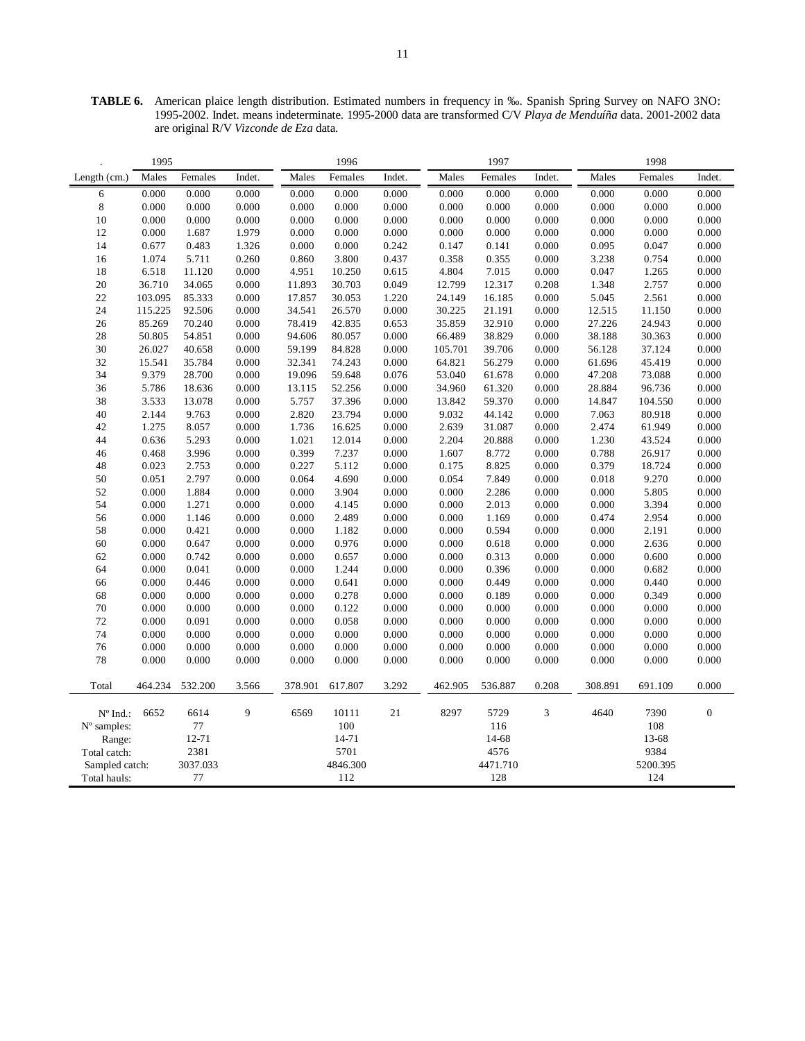**TABLE 6.** American plaice length distribution. Estimated numbers in frequency in ‰. Spanish Spring Survey on NAFO 3NO: 1995-2002. Indet. means indeterminate. 1995-2000 data are transformed C/V *Playa de Menduíña* data. 2001-2002 data are original R/V *Vizconde de Eza* data.

|                   | 1995    |          |        |         | 1996     |        |         | 1997     |        |         | 1998     |                |
|-------------------|---------|----------|--------|---------|----------|--------|---------|----------|--------|---------|----------|----------------|
| Length $(cm.)$    | Males   | Females  | Indet. | Males   | Females  | Indet. | Males   | Females  | Indet. | Males   | Females  | Indet.         |
| 6                 | 0.000   | 0.000    | 0.000  | 0.000   | 0.000    | 0.000  | 0.000   | 0.000    | 0.000  | 0.000   | 0.000    | 0.000          |
| $\,8\,$           | 0.000   | 0.000    | 0.000  | 0.000   | 0.000    | 0.000  | 0.000   | 0.000    | 0.000  | 0.000   | 0.000    | 0.000          |
| 10                | 0.000   | 0.000    | 0.000  | 0.000   | 0.000    | 0.000  | 0.000   | 0.000    | 0.000  | 0.000   | 0.000    | 0.000          |
| 12                | 0.000   | 1.687    | 1.979  | 0.000   | 0.000    | 0.000  | 0.000   | 0.000    | 0.000  | 0.000   | 0.000    | 0.000          |
| 14                | 0.677   | 0.483    | 1.326  | 0.000   | 0.000    | 0.242  | 0.147   | 0.141    | 0.000  | 0.095   | 0.047    | 0.000          |
| 16                | 1.074   | 5.711    | 0.260  | 0.860   | 3.800    | 0.437  | 0.358   | 0.355    | 0.000  | 3.238   | 0.754    | 0.000          |
| 18                | 6.518   | 11.120   | 0.000  | 4.951   | 10.250   | 0.615  | 4.804   | 7.015    | 0.000  | 0.047   | 1.265    | 0.000          |
| 20                | 36.710  | 34.065   | 0.000  | 11.893  | 30.703   | 0.049  | 12.799  | 12.317   | 0.208  | 1.348   | 2.757    | 0.000          |
| 22                | 103.095 | 85.333   | 0.000  | 17.857  | 30.053   | 1.220  | 24.149  | 16.185   | 0.000  | 5.045   | 2.561    | 0.000          |
| 24                | 115.225 | 92.506   | 0.000  | 34.541  | 26.570   | 0.000  | 30.225  | 21.191   | 0.000  | 12.515  | 11.150   | 0.000          |
| 26                | 85.269  | 70.240   | 0.000  | 78.419  | 42.835   | 0.653  | 35.859  | 32.910   | 0.000  | 27.226  | 24.943   | 0.000          |
| 28                | 50.805  | 54.851   | 0.000  | 94.606  | 80.057   | 0.000  | 66.489  | 38.829   | 0.000  | 38.188  | 30.363   | 0.000          |
| 30                | 26.027  | 40.658   | 0.000  | 59.199  | 84.828   | 0.000  | 105.701 | 39.706   | 0.000  | 56.128  | 37.124   | 0.000          |
| 32                | 15.541  | 35.784   | 0.000  | 32.341  | 74.243   | 0.000  | 64.821  | 56.279   | 0.000  | 61.696  | 45.419   | 0.000          |
| 34                | 9.379   | 28.700   | 0.000  | 19.096  | 59.648   | 0.076  | 53.040  | 61.678   | 0.000  | 47.208  | 73.088   | 0.000          |
| 36                | 5.786   | 18.636   | 0.000  | 13.115  | 52.256   | 0.000  | 34.960  | 61.320   | 0.000  | 28.884  | 96.736   | 0.000          |
| 38                | 3.533   | 13.078   | 0.000  | 5.757   | 37.396   | 0.000  | 13.842  | 59.370   | 0.000  | 14.847  | 104.550  | 0.000          |
| 40                | 2.144   | 9.763    | 0.000  | 2.820   | 23.794   | 0.000  | 9.032   | 44.142   | 0.000  | 7.063   | 80.918   | 0.000          |
| 42                | 1.275   | 8.057    | 0.000  | 1.736   | 16.625   | 0.000  | 2.639   | 31.087   | 0.000  | 2.474   | 61.949   | 0.000          |
| 44                | 0.636   | 5.293    | 0.000  | 1.021   | 12.014   | 0.000  | 2.204   | 20.888   | 0.000  | 1.230   | 43.524   | 0.000          |
| 46                | 0.468   | 3.996    | 0.000  | 0.399   | 7.237    | 0.000  | 1.607   | 8.772    | 0.000  | 0.788   | 26.917   | 0.000          |
| 48                | 0.023   | 2.753    | 0.000  | 0.227   | 5.112    | 0.000  | 0.175   | 8.825    | 0.000  | 0.379   | 18.724   | 0.000          |
| 50                | 0.051   | 2.797    | 0.000  | 0.064   | 4.690    | 0.000  | 0.054   | 7.849    | 0.000  | 0.018   | 9.270    | 0.000          |
| 52                | 0.000   | 1.884    | 0.000  | 0.000   | 3.904    | 0.000  | 0.000   | 2.286    | 0.000  | 0.000   | 5.805    | 0.000          |
| 54                | 0.000   | 1.271    | 0.000  | 0.000   | 4.145    | 0.000  | 0.000   | 2.013    | 0.000  | 0.000   | 3.394    | 0.000          |
| 56                | 0.000   | 1.146    | 0.000  | 0.000   | 2.489    | 0.000  | 0.000   | 1.169    | 0.000  | 0.474   | 2.954    | 0.000          |
| 58                | 0.000   | 0.421    | 0.000  | 0.000   | 1.182    | 0.000  | 0.000   | 0.594    | 0.000  | 0.000   | 2.191    | 0.000          |
| 60                | 0.000   | 0.647    | 0.000  | 0.000   | 0.976    | 0.000  | 0.000   | 0.618    | 0.000  | 0.000   | 2.636    | 0.000          |
| 62                | 0.000   | 0.742    | 0.000  | 0.000   | 0.657    | 0.000  | 0.000   | 0.313    | 0.000  | 0.000   | 0.600    | 0.000          |
| 64                | 0.000   | 0.041    | 0.000  | 0.000   | 1.244    | 0.000  | 0.000   | 0.396    | 0.000  | 0.000   | 0.682    | 0.000          |
| 66                | 0.000   | 0.446    | 0.000  | 0.000   | 0.641    | 0.000  | 0.000   | 0.449    | 0.000  | 0.000   | 0.440    | 0.000          |
| 68                | 0.000   | 0.000    | 0.000  | 0.000   | 0.278    | 0.000  | 0.000   | 0.189    | 0.000  | 0.000   | 0.349    | 0.000          |
| 70                | 0.000   | 0.000    | 0.000  | 0.000   | 0.122    | 0.000  | 0.000   | 0.000    | 0.000  | 0.000   | 0.000    | 0.000          |
| 72                | 0.000   | 0.091    | 0.000  | 0.000   | 0.058    | 0.000  | 0.000   | 0.000    | 0.000  | 0.000   | 0.000    | 0.000          |
| 74                | 0.000   | 0.000    | 0.000  | 0.000   | 0.000    | 0.000  | 0.000   | 0.000    | 0.000  | 0.000   | 0.000    | 0.000          |
| 76                | 0.000   | 0.000    | 0.000  | 0.000   | 0.000    | 0.000  | 0.000   | 0.000    | 0.000  | 0.000   | 0.000    | 0.000          |
| 78                | 0.000   | 0.000    | 0.000  | 0.000   | 0.000    | 0.000  | 0.000   | 0.000    | 0.000  | 0.000   | 0.000    | 0.000          |
| Total             | 464.234 | 532.200  | 3.566  | 378.901 | 617.807  | 3.292  | 462.905 | 536.887  | 0.208  | 308.891 | 691.109  | 0.000          |
| $N^{\circ}$ Ind.: | 6652    | 6614     | 9      | 6569    | 10111    | 21     | 8297    | 5729     | 3      | 4640    | 7390     | $\overline{0}$ |
| N° samples:       |         | 77       |        |         | 100      |        |         | 116      |        |         | 108      |                |
| Range:            |         | 12-71    |        |         | 14-71    |        |         | 14-68    |        |         | 13-68    |                |
| Total catch:      |         | 2381     |        |         | 5701     |        |         | 4576     |        |         | 9384     |                |
| Sampled catch:    |         | 3037.033 |        |         | 4846.300 |        |         | 4471.710 |        |         | 5200.395 |                |
| Total hauls:      |         | 77       |        |         | 112      |        |         | 128      |        |         | 124      |                |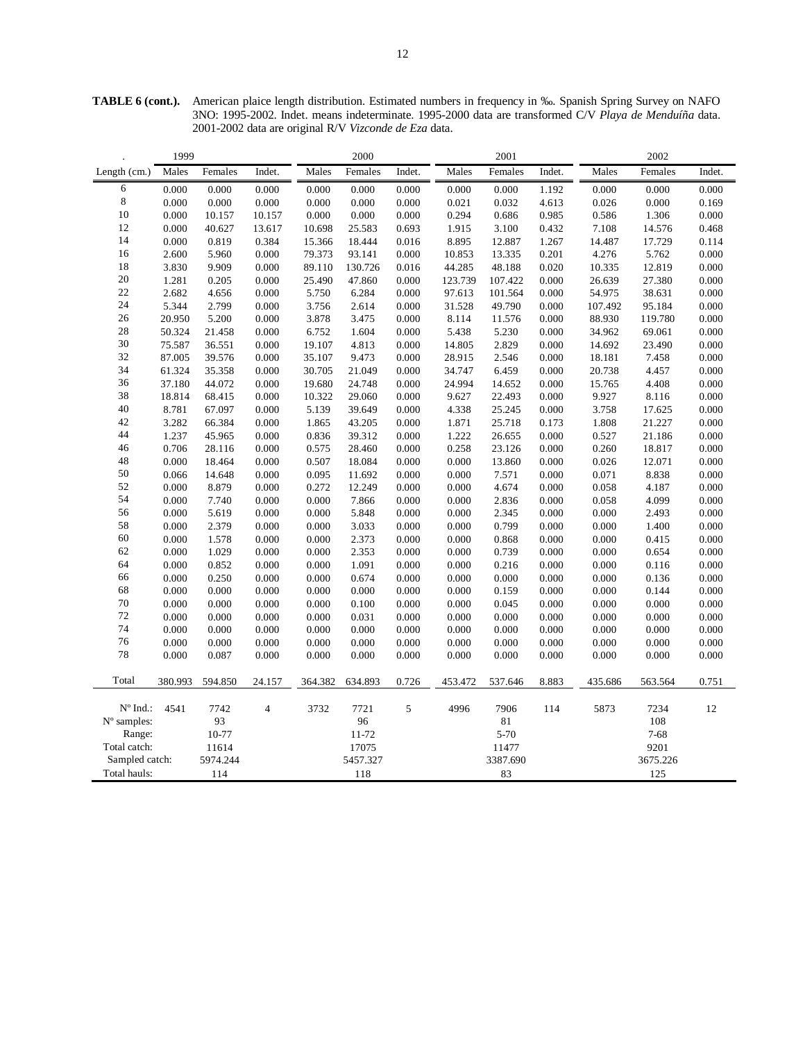**TABLE 6 (cont.).** American plaice length distribution. Estimated numbers in frequency in ‰. Spanish Spring Survey on NAFO 3NO: 1995-2002. Indet. means indeterminate. 1995-2000 data are transformed C/V *Playa de Menduíña* data. 2001-2002 data are original R/V *Vizconde de Eza* data.

|                   | 1999    |          |                |         | 2000     |        |         | 2001        |        |         | 2002     |        |
|-------------------|---------|----------|----------------|---------|----------|--------|---------|-------------|--------|---------|----------|--------|
| Length (cm.)      | Males   | Females  | Indet.         | Males   | Females  | Indet. | Males   | Females     | Indet. | Males   | Females  | Indet. |
| 6                 | 0.000   | 0.000    | 0.000          | 0.000   | 0.000    | 0.000  | 0.000   | 0.000       | 1.192  | 0.000   | 0.000    | 0.000  |
| 8                 | 0.000   | 0.000    | 0.000          | 0.000   | 0.000    | 0.000  | 0.021   | 0.032       | 4.613  | 0.026   | 0.000    | 0.169  |
| 10                | 0.000   | 10.157   | 10.157         | 0.000   | 0.000    | 0.000  | 0.294   | 0.686       | 0.985  | 0.586   | 1.306    | 0.000  |
| 12                | 0.000   | 40.627   | 13.617         | 10.698  | 25.583   | 0.693  | 1.915   | 3.100       | 0.432  | 7.108   | 14.576   | 0.468  |
| 14                | 0.000   | 0.819    | 0.384          | 15.366  | 18.444   | 0.016  | 8.895   | 12.887      | 1.267  | 14.487  | 17.729   | 0.114  |
| 16                | 2.600   | 5.960    | 0.000          | 79.373  | 93.141   | 0.000  | 10.853  | 13.335      | 0.201  | 4.276   | 5.762    | 0.000  |
| 18                | 3.830   | 9.909    | 0.000          | 89.110  | 130.726  | 0.016  | 44.285  | 48.188      | 0.020  | 10.335  | 12.819   | 0.000  |
| 20                | 1.281   | 0.205    | 0.000          | 25.490  | 47.860   | 0.000  | 123.739 | 107.422     | 0.000  | 26.639  | 27.380   | 0.000  |
| 22                | 2.682   | 4.656    | 0.000          | 5.750   | 6.284    | 0.000  | 97.613  | 101.564     | 0.000  | 54.975  | 38.631   | 0.000  |
| 24                | 5.344   | 2.799    | 0.000          | 3.756   | 2.614    | 0.000  | 31.528  | 49.790      | 0.000  | 107.492 | 95.184   | 0.000  |
| 26                | 20.950  | 5.200    | 0.000          | 3.878   | 3.475    | 0.000  | 8.114   | 11.576      | 0.000  | 88.930  | 119.780  | 0.000  |
| 28                | 50.324  | 21.458   | 0.000          | 6.752   | 1.604    | 0.000  | 5.438   | 5.230       | 0.000  | 34.962  | 69.061   | 0.000  |
| 30                | 75.587  | 36.551   | 0.000          | 19.107  | 4.813    | 0.000  | 14.805  | 2.829       | 0.000  | 14.692  | 23.490   | 0.000  |
| 32                | 87.005  | 39.576   | 0.000          | 35.107  | 9.473    | 0.000  | 28.915  | 2.546       | 0.000  | 18.181  | 7.458    | 0.000  |
| 34                | 61.324  | 35.358   | 0.000          | 30.705  | 21.049   | 0.000  | 34.747  | 6.459       | 0.000  | 20.738  | 4.457    | 0.000  |
| 36                | 37.180  | 44.072   | 0.000          | 19.680  | 24.748   | 0.000  | 24.994  | 14.652      | 0.000  | 15.765  | 4.408    | 0.000  |
| 38                | 18.814  | 68.415   | 0.000          | 10.322  | 29.060   | 0.000  | 9.627   | 22.493      | 0.000  | 9.927   | 8.116    | 0.000  |
| 40                | 8.781   | 67.097   | 0.000          | 5.139   | 39.649   | 0.000  | 4.338   | 25.245      | 0.000  | 3.758   | 17.625   | 0.000  |
| 42                | 3.282   | 66.384   | 0.000          | 1.865   | 43.205   | 0.000  | 1.871   | 25.718      | 0.173  | 1.808   | 21.227   | 0.000  |
| 44                | 1.237   | 45.965   | 0.000          | 0.836   | 39.312   | 0.000  | 1.222   | 26.655      | 0.000  | 0.527   | 21.186   | 0.000  |
| 46                | 0.706   | 28.116   | 0.000          | 0.575   | 28.460   | 0.000  | 0.258   | 23.126      | 0.000  | 0.260   | 18.817   | 0.000  |
| 48                | 0.000   | 18.464   | 0.000          | 0.507   | 18.084   | 0.000  | 0.000   | 13.860      | 0.000  | 0.026   | 12.071   | 0.000  |
| 50                | 0.066   | 14.648   | 0.000          | 0.095   | 11.692   | 0.000  | 0.000   | 7.571       | 0.000  | 0.071   | 8.838    | 0.000  |
| 52                | 0.000   | 8.879    | 0.000          | 0.272   | 12.249   | 0.000  | 0.000   | 4.674       | 0.000  | 0.058   | 4.187    | 0.000  |
| 54                | 0.000   | 7.740    | 0.000          | 0.000   | 7.866    | 0.000  | 0.000   | 2.836       | 0.000  | 0.058   | 4.099    | 0.000  |
| 56                | 0.000   | 5.619    | 0.000          | 0.000   | 5.848    | 0.000  | 0.000   | 2.345       | 0.000  | 0.000   | 2.493    | 0.000  |
| 58                | 0.000   | 2.379    | 0.000          | 0.000   | 3.033    | 0.000  | 0.000   | 0.799       | 0.000  | 0.000   | 1.400    | 0.000  |
| 60                | 0.000   | 1.578    | 0.000          | 0.000   | 2.373    | 0.000  | 0.000   | 0.868       | 0.000  | 0.000   | 0.415    | 0.000  |
| 62                | 0.000   | 1.029    | 0.000          | 0.000   | 2.353    | 0.000  | 0.000   | 0.739       | 0.000  | 0.000   | 0.654    | 0.000  |
| 64                | 0.000   | 0.852    | 0.000          | 0.000   | 1.091    | 0.000  | 0.000   | 0.216       | 0.000  | 0.000   | 0.116    | 0.000  |
| 66                | 0.000   | 0.250    | 0.000          | 0.000   | 0.674    | 0.000  | 0.000   | 0.000       | 0.000  | 0.000   | 0.136    | 0.000  |
| 68                | 0.000   | 0.000    | 0.000          | 0.000   | 0.000    | 0.000  | 0.000   | 0.159       | 0.000  | 0.000   | 0.144    | 0.000  |
| 70                | 0.000   | 0.000    | 0.000          | 0.000   | 0.100    | 0.000  | 0.000   | 0.045       | 0.000  | 0.000   | 0.000    | 0.000  |
| 72                | 0.000   | 0.000    | 0.000          | 0.000   | 0.031    | 0.000  | 0.000   | 0.000       | 0.000  | 0.000   | 0.000    | 0.000  |
| 74                | 0.000   | 0.000    | 0.000          | 0.000   | 0.000    | 0.000  | 0.000   | 0.000       | 0.000  | 0.000   | 0.000    | 0.000  |
| 76                | 0.000   | 0.000    | 0.000          | 0.000   | 0.000    | 0.000  | 0.000   | 0.000       | 0.000  | 0.000   | 0.000    | 0.000  |
| 78                | 0.000   | 0.087    | 0.000          | 0.000   | 0.000    | 0.000  | 0.000   | 0.000       | 0.000  | 0.000   | 0.000    | 0.000  |
|                   |         |          |                |         |          |        |         |             |        |         |          |        |
| Total             | 380.993 | 594.850  | 24.157         | 364.382 | 634.893  | 0.726  | 453.472 | 537.646     | 8.883  | 435.686 | 563.564  | 0.751  |
| $N^{\circ}$ Ind.: | 4541    | 7742     | $\overline{4}$ | 3732    | 7721     | 5      | 4996    | 7906        | 114    | 5873    | 7234     | 12     |
| N° samples:       |         | 93       |                |         | 96       |        |         | $8\sqrt{1}$ |        |         | 108      |        |
| Range:            |         | 10-77    |                |         | 11-72    |        |         | 5-70        |        |         | $7 - 68$ |        |
| Total catch:      |         | 11614    |                |         | 17075    |        |         | 11477       |        |         | 9201     |        |
| Sampled catch:    |         | 5974.244 |                |         | 5457.327 |        |         | 3387.690    |        |         | 3675.226 |        |
| Total hauls:      |         | 114      |                |         | 118      |        |         | 83          |        |         | 125      |        |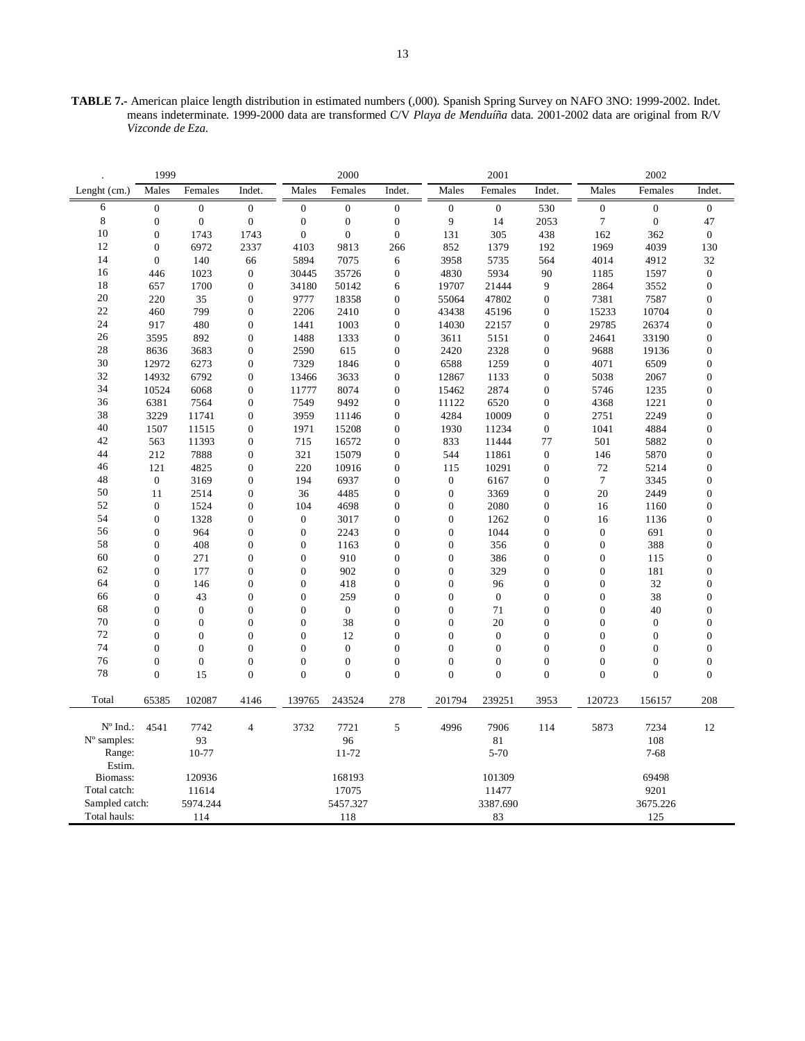**TABLE 7.-** American plaice length distribution in estimated numbers (,000). Spanish Spring Survey on NAFO 3NO: 1999-2002. Indet. means indeterminate. 1999-2000 data are transformed C/V *Playa de Menduíña* data. 2001-2002 data are original from R/V *Vizconde de Eza*.

|                   | 1999             |                  |                  |                  | 2000             |                  |                  | 2001           |                  |                  | 2002             |                  |
|-------------------|------------------|------------------|------------------|------------------|------------------|------------------|------------------|----------------|------------------|------------------|------------------|------------------|
| Lenght (cm.)      | Males            | Females          | Indet.           | Males            | Females          | Indet.           | Males            | Females        | Indet.           | Males            | Females          | Indet.           |
| 6                 | $\boldsymbol{0}$ | $\boldsymbol{0}$ | $\boldsymbol{0}$ | $\boldsymbol{0}$ | $\boldsymbol{0}$ | $\boldsymbol{0}$ | $\mathbf{0}$     | $\mathbf{0}$   | 530              | $\boldsymbol{0}$ | $\boldsymbol{0}$ | $\mathbf{0}$     |
| 8                 | $\overline{0}$   | $\mathbf{0}$     | $\mathbf{0}$     | $\mathbf{0}$     | $\mathbf{0}$     | $\mathbf{0}$     | 9                | 14             | 2053             | $\tau$           | $\mathbf{0}$     | 47               |
| 10                | $\mathbf{0}$     | 1743             | 1743             | $\boldsymbol{0}$ | $\overline{0}$   | $\boldsymbol{0}$ | 131              | 305            | 438              | 162              | 362              | $\boldsymbol{0}$ |
| 12                | $\overline{0}$   | 6972             | 2337             | 4103             | 9813             | 266              | 852              | 1379           | 192              | 1969             | 4039             | 130              |
| 14                | $\mathbf{0}$     | 140              | 66               | 5894             | 7075             | 6                | 3958             | 5735           | 564              | 4014             | 4912             | 32               |
| 16                | 446              | 1023             | $\mathbf{0}$     | 30445            | 35726            | $\boldsymbol{0}$ | 4830             | 5934           | 90               | 1185             | 1597             | $\boldsymbol{0}$ |
| 18                | 657              | 1700             | $\mathbf{0}$     | 34180            | 50142            | 6                | 19707            | 21444          | 9                | 2864             | 3552             | $\mathbf{0}$     |
| 20                | 220              | 35               | $\boldsymbol{0}$ | 9777             | 18358            | $\boldsymbol{0}$ | 55064            | 47802          | $\boldsymbol{0}$ | 7381             | 7587             | $\boldsymbol{0}$ |
| 22                | 460              | 799              | $\boldsymbol{0}$ | 2206             | 2410             | $\boldsymbol{0}$ | 43438            | 45196          | $\boldsymbol{0}$ | 15233            | 10704            | $\boldsymbol{0}$ |
| 24                | 917              | 480              | $\mathbf{0}$     | 1441             | 1003             | $\boldsymbol{0}$ | 14030            | 22157          | $\boldsymbol{0}$ | 29785            | 26374            | $\boldsymbol{0}$ |
| 26                | 3595             | 892              | $\boldsymbol{0}$ | 1488             | 1333             | $\boldsymbol{0}$ | 3611             | 5151           | $\boldsymbol{0}$ | 24641            | 33190            | $\boldsymbol{0}$ |
| 28                | 8636             | 3683             | $\mathbf{0}$     | 2590             | 615              | $\overline{0}$   | 2420             | 2328           | $\mathbf{0}$     | 9688             | 19136            | $\boldsymbol{0}$ |
| 30                | 12972            | 6273             | $\boldsymbol{0}$ | 7329             | 1846             | $\boldsymbol{0}$ | 6588             | 1259           | $\boldsymbol{0}$ | 4071             | 6509             | $\mathbf{0}$     |
| 32                | 14932            | 6792             | $\boldsymbol{0}$ | 13466            | 3633             | $\boldsymbol{0}$ | 12867            | 1133           | $\boldsymbol{0}$ | 5038             | 2067             | $\boldsymbol{0}$ |
| 34                | 10524            | 6068             | $\mathbf{0}$     | 11777            | 8074             | $\boldsymbol{0}$ | 15462            | 2874           | $\mathbf{0}$     | 5746             | 1235             | $\mathbf{0}$     |
| 36                | 6381             | 7564             | $\boldsymbol{0}$ | 7549             | 9492             | $\boldsymbol{0}$ | 11122            | 6520           | $\boldsymbol{0}$ | 4368             | 1221             | $\boldsymbol{0}$ |
| 38                | 3229             | 11741            | $\mathbf{0}$     | 3959             | 11146            | $\boldsymbol{0}$ | 4284             | 10009          | $\mathbf{0}$     | 2751             | 2249             | $\mathbf{0}$     |
| 40                | 1507             | 11515            | $\mathbf{0}$     | 1971             | 15208            | $\boldsymbol{0}$ | 1930             | 11234          | $\boldsymbol{0}$ | 1041             | 4884             | $\boldsymbol{0}$ |
| 42                | 563              | 11393            | $\boldsymbol{0}$ | 715              | 16572            | $\boldsymbol{0}$ | 833              | 11444          | 77               | 501              | 5882             | $\boldsymbol{0}$ |
| 44                | 212              | 7888             | $\boldsymbol{0}$ | 321              | 15079            | $\boldsymbol{0}$ | 544              | 11861          | $\boldsymbol{0}$ | 146              | 5870             | $\boldsymbol{0}$ |
| 46                | 121              | 4825             | $\boldsymbol{0}$ | 220              | 10916            | $\boldsymbol{0}$ | 115              | 10291          | $\boldsymbol{0}$ | 72               | 5214             | $\boldsymbol{0}$ |
| 48                | $\mathbf{0}$     | 3169             | $\mathbf{0}$     | 194              | 6937             | $\boldsymbol{0}$ | $\mathbf{0}$     | 6167           | $\boldsymbol{0}$ | $\overline{7}$   | 3345             | $\boldsymbol{0}$ |
| 50                | 11               | 2514             | $\boldsymbol{0}$ | 36               | 4485             | $\boldsymbol{0}$ | $\boldsymbol{0}$ | 3369           | $\boldsymbol{0}$ | 20               | 2449             | $\boldsymbol{0}$ |
| 52                | $\boldsymbol{0}$ | 1524             | $\boldsymbol{0}$ | 104              | 4698             | $\boldsymbol{0}$ | $\mathbf{0}$     | 2080           | $\boldsymbol{0}$ | 16               | 1160             | $\boldsymbol{0}$ |
| 54                | $\overline{0}$   | 1328             | $\boldsymbol{0}$ | $\boldsymbol{0}$ | 3017             | $\boldsymbol{0}$ | $\mathbf{0}$     | 1262           | $\boldsymbol{0}$ | 16               | 1136             | $\boldsymbol{0}$ |
| 56                | $\mathbf{0}$     | 964              | $\boldsymbol{0}$ | $\boldsymbol{0}$ | 2243             | $\boldsymbol{0}$ | $\mathbf{0}$     | 1044           | $\boldsymbol{0}$ | $\boldsymbol{0}$ | 691              | $\boldsymbol{0}$ |
| 58                | $\overline{0}$   | 408              | $\mathbf{0}$     | $\overline{0}$   | 1163             | $\boldsymbol{0}$ | $\overline{0}$   | 356            | $\boldsymbol{0}$ | $\boldsymbol{0}$ | 388              | $\boldsymbol{0}$ |
| 60                | $\mathbf{0}$     | 271              | $\mathbf{0}$     | $\overline{0}$   | 910              | $\boldsymbol{0}$ | $\overline{0}$   | 386            | $\boldsymbol{0}$ | $\boldsymbol{0}$ | 115              | $\boldsymbol{0}$ |
| 62                | $\mathbf{0}$     | 177              | $\boldsymbol{0}$ | $\boldsymbol{0}$ | 902              | $\boldsymbol{0}$ | $\boldsymbol{0}$ | 329            | $\boldsymbol{0}$ | $\boldsymbol{0}$ | 181              | $\boldsymbol{0}$ |
| 64                | $\overline{0}$   | 146              | $\mathbf{0}$     | $\overline{0}$   | 418              | $\overline{0}$   | $\overline{0}$   | 96             | $\mathbf{0}$     | $\boldsymbol{0}$ | 32               | $\boldsymbol{0}$ |
| 66                | $\mathbf{0}$     | 43               | $\boldsymbol{0}$ | $\boldsymbol{0}$ | 259              | $\boldsymbol{0}$ | $\boldsymbol{0}$ | $\mathbf{0}$   | $\boldsymbol{0}$ | $\boldsymbol{0}$ | 38               | $\boldsymbol{0}$ |
| 68                | $\overline{0}$   | $\mathbf{0}$     | $\overline{0}$   | $\overline{0}$   | $\boldsymbol{0}$ | $\overline{0}$   | $\mathbf{0}$     | 71             | $\mathbf{0}$     | $\mathbf{0}$     | 40               | $\mathbf{0}$     |
| 70                | $\overline{0}$   | $\boldsymbol{0}$ | $\overline{0}$   | $\boldsymbol{0}$ | 38               | $\boldsymbol{0}$ | $\overline{0}$   | 20             | $\boldsymbol{0}$ | $\boldsymbol{0}$ | $\boldsymbol{0}$ | $\boldsymbol{0}$ |
| 72                | $\mathbf{0}$     | $\boldsymbol{0}$ | $\theta$         | $\boldsymbol{0}$ | 12               | $\theta$         | $\Omega$         | $\mathbf{0}$   | $\boldsymbol{0}$ | $\boldsymbol{0}$ | $\boldsymbol{0}$ | $\boldsymbol{0}$ |
| 74                | $\overline{0}$   | $\overline{0}$   | $\overline{0}$   | $\overline{0}$   | $\overline{0}$   | $\overline{0}$   | $\overline{0}$   | $\overline{0}$ | $\overline{0}$   | $\overline{0}$   | $\overline{0}$   | $\boldsymbol{0}$ |
| 76                | $\overline{0}$   | $\boldsymbol{0}$ | $\overline{0}$   | $\boldsymbol{0}$ | $\boldsymbol{0}$ | $\boldsymbol{0}$ | $\overline{0}$   | $\mathbf{0}$   | $\boldsymbol{0}$ | $\boldsymbol{0}$ | $\boldsymbol{0}$ | $\boldsymbol{0}$ |
| 78                | $\overline{0}$   | 15               | $\overline{0}$   | $\overline{0}$   | $\overline{0}$   | $\overline{0}$   | $\overline{0}$   | $\overline{0}$ | $\mathbf{0}$     | $\mathbf{0}$     | $\overline{0}$   | $\mathbf{0}$     |
|                   |                  |                  |                  |                  |                  |                  |                  |                |                  |                  |                  |                  |
| Total             | 65385            | 102087           | 4146             | 139765           | 243524           | 278              | 201794           | 239251         | 3953             | 120723           | 156157           | 208              |
| $N^{\circ}$ Ind.: | 4541             | 7742             | $\overline{4}$   | 3732             | 7721             | 5                | 4996             | 7906           | 114              | 5873             | 7234             | 12               |
| N° samples:       |                  | 93               |                  |                  | 96               |                  |                  | 81             |                  |                  | 108              |                  |
| Range:            |                  | 10-77            |                  |                  | 11-72            |                  |                  | $5-70$         |                  |                  | $7 - 68$         |                  |
| Estim.            |                  |                  |                  |                  |                  |                  |                  |                |                  |                  |                  |                  |
| Biomass:          |                  | 120936           |                  |                  | 168193           |                  |                  | 101309         |                  |                  | 69498            |                  |
| Total catch:      |                  | 11614            |                  |                  | 17075            |                  |                  | 11477          |                  |                  | 9201             |                  |
| Sampled catch:    |                  | 5974.244         |                  |                  | 5457.327         |                  |                  | 3387.690       |                  |                  | 3675.226         |                  |
| Total hauls:      |                  | 114              |                  |                  | 118              |                  |                  | 83             |                  |                  | 125              |                  |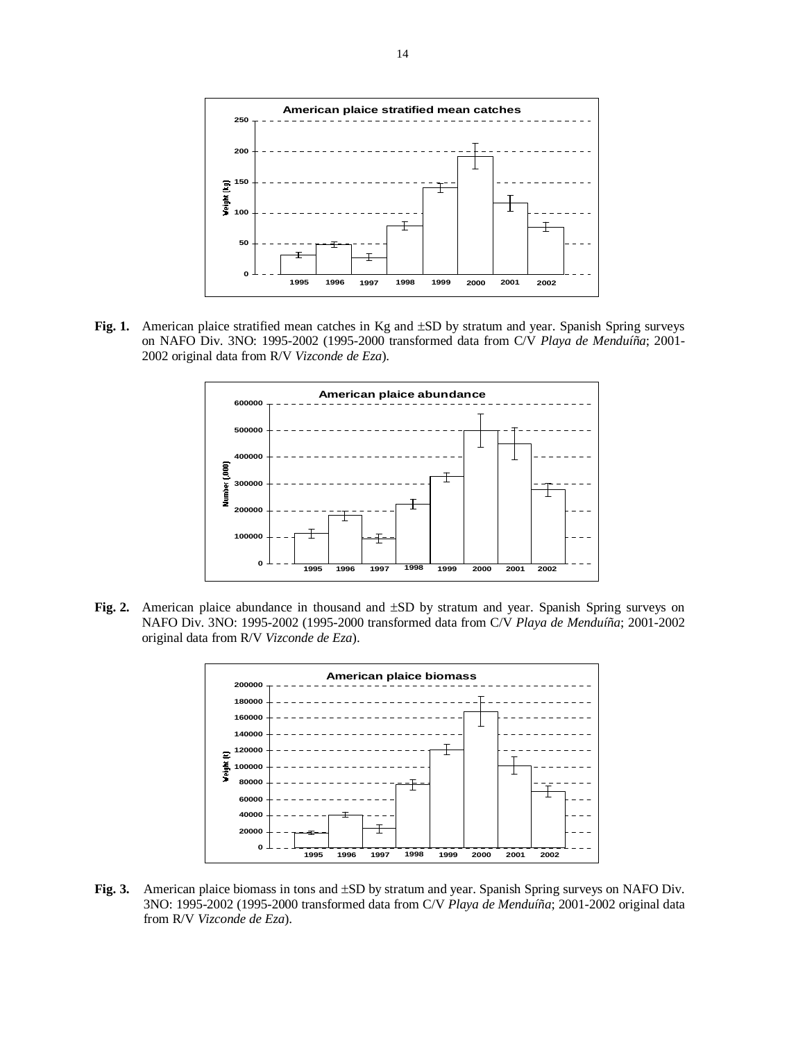

**Fig. 1.** American plaice stratified mean catches in Kg and ±SD by stratum and year. Spanish Spring surveys on NAFO Div. 3NO: 1995-2002 (1995-2000 transformed data from C/V *Playa de Menduíña*; 2001- 2002 original data from R/V *Vizconde de Eza*).



**Fig. 2.** American plaice abundance in thousand and ±SD by stratum and year. Spanish Spring surveys on NAFO Div. 3NO: 1995-2002 (1995-2000 transformed data from C/V *Playa de Menduíña*; 2001-2002 original data from R/V *Vizconde de Eza*).



**Fig. 3.** American plaice biomass in tons and ±SD by stratum and year. Spanish Spring surveys on NAFO Div. 3NO: 1995-2002 (1995-2000 transformed data from C/V *Playa de Menduíña*; 2001-2002 original data from R/V *Vizconde de Eza*).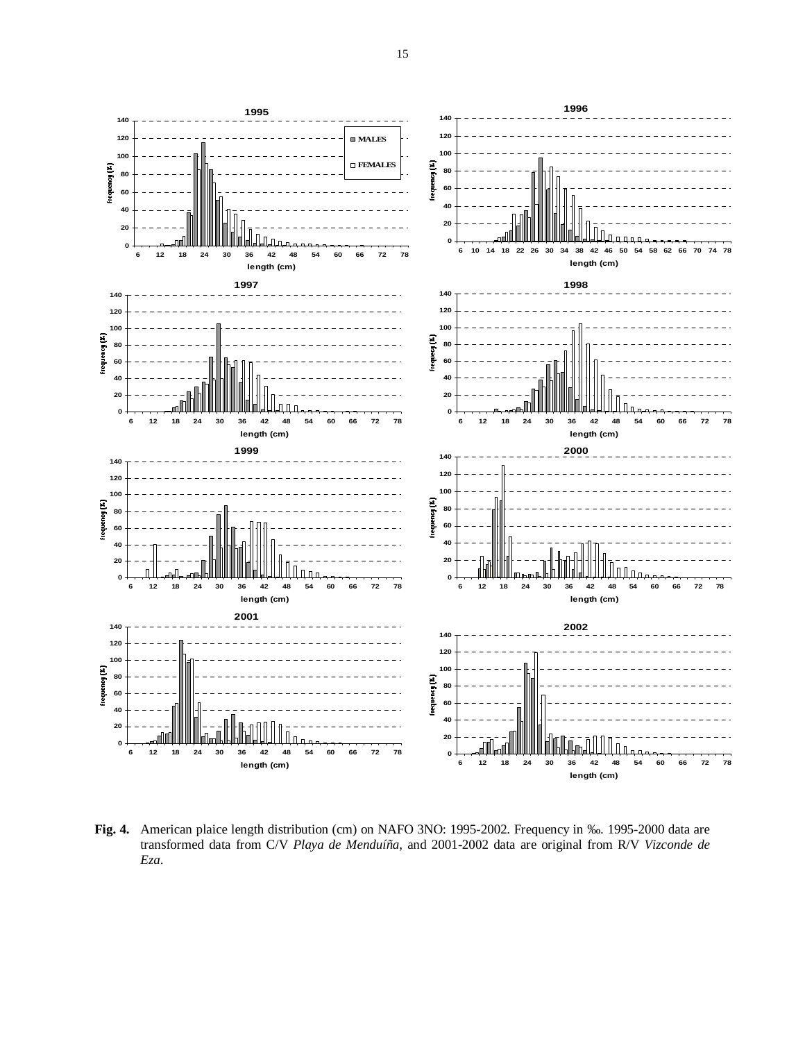

**Fig. 4.** American plaice length distribution (cm) on NAFO 3NO: 1995-2002. Frequency in ‰. 1995-2000 data are transformed data from C/V *Playa de Menduíña*, and 2001-2002 data are original from R/V *Vizconde de Eza*.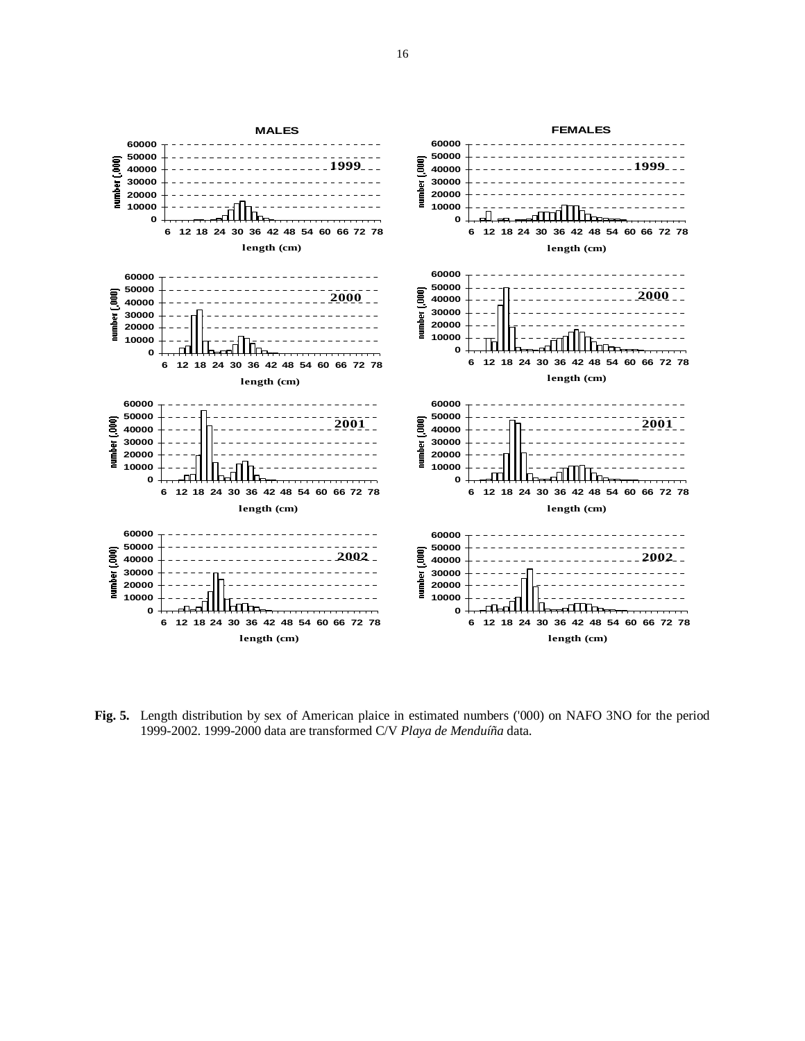

**Fig. 5.** Length distribution by sex of American plaice in estimated numbers ('000) on NAFO 3NO for the period 1999-2002. 1999-2000 data are transformed C/V *Playa de Menduíña* data.